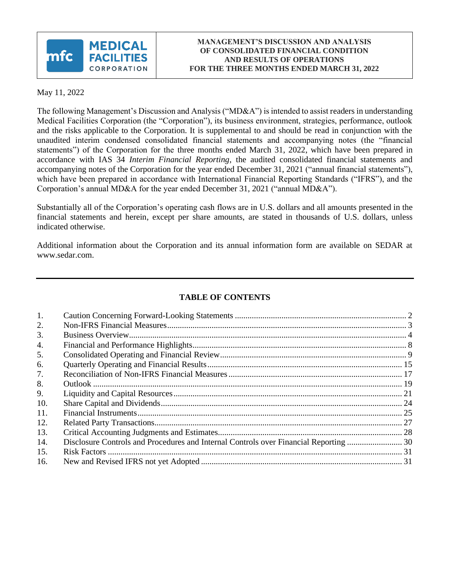

May 11, 2022

The following Management's Discussion and Analysis ("MD&A") is intended to assist readers in understanding Medical Facilities Corporation (the "Corporation"), its business environment, strategies, performance, outlook and the risks applicable to the Corporation. It is supplemental to and should be read in conjunction with the unaudited interim condensed consolidated financial statements and accompanying notes (the "financial statements") of the Corporation for the three months ended March 31, 2022, which have been prepared in accordance with IAS 34 *Interim Financial Reporting*, the audited consolidated financial statements and accompanying notes of the Corporation for the year ended December 31, 2021 ("annual financial statements"), which have been prepared in accordance with International Financial Reporting Standards ("IFRS"), and the Corporation's annual MD&A for the year ended December 31, 2021 ("annual MD&A").

Substantially all of the Corporation's operating cash flows are in U.S. dollars and all amounts presented in the financial statements and herein, except per share amounts, are stated in thousands of U.S. dollars, unless indicated otherwise.

Additional information about the Corporation and its annual information form are available on SEDAR at www.sedar.com.

# **TABLE OF CONTENTS**

| 1.  |                                                                                       |  |
|-----|---------------------------------------------------------------------------------------|--|
| 2.  |                                                                                       |  |
| 3.  |                                                                                       |  |
| 4.  |                                                                                       |  |
| 5.  |                                                                                       |  |
| 6.  |                                                                                       |  |
| 7.  |                                                                                       |  |
| 8.  |                                                                                       |  |
| 9.  |                                                                                       |  |
| 10. |                                                                                       |  |
| 11. |                                                                                       |  |
| 12. |                                                                                       |  |
| 13. |                                                                                       |  |
| 14. | Disclosure Controls and Procedures and Internal Controls over Financial Reporting  30 |  |
| 15. |                                                                                       |  |
| 16. |                                                                                       |  |
|     |                                                                                       |  |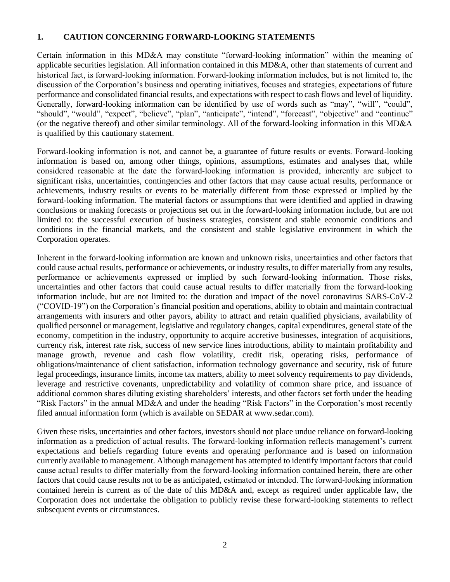#### <span id="page-1-0"></span>**1. CAUTION CONCERNING FORWARD-LOOKING STATEMENTS**

Certain information in this MD&A may constitute "forward‐looking information" within the meaning of applicable securities legislation. All information contained in this MD&A, other than statements of current and historical fact, is forward-looking information. Forward-looking information includes, but is not limited to, the discussion of the Corporation's business and operating initiatives, focuses and strategies, expectations of future performance and consolidated financial results, and expectations with respect to cash flows and level of liquidity. Generally, forward‐looking information can be identified by use of words such as "may", "will", "could", "should", "would", "expect", "believe", "plan", "anticipate", "intend", "forecast", "objective" and "continue" (or the negative thereof) and other similar terminology. All of the forward‐looking information in this MD&A is qualified by this cautionary statement.

Forward‐looking information is not, and cannot be, a guarantee of future results or events. Forward-looking information is based on, among other things, opinions, assumptions, estimates and analyses that, while considered reasonable at the date the forward‐looking information is provided, inherently are subject to significant risks, uncertainties, contingencies and other factors that may cause actual results, performance or achievements, industry results or events to be materially different from those expressed or implied by the forward-looking information. The material factors or assumptions that were identified and applied in drawing conclusions or making forecasts or projections set out in the forward-looking information include, but are not limited to: the successful execution of business strategies, consistent and stable economic conditions and conditions in the financial markets, and the consistent and stable legislative environment in which the Corporation operates.

Inherent in the forward‐looking information are known and unknown risks, uncertainties and other factors that could cause actual results, performance or achievements, or industry results, to differ materially from any results, performance or achievements expressed or implied by such forward‐looking information. Those risks, uncertainties and other factors that could cause actual results to differ materially from the forward‐looking information include, but are not limited to: the duration and impact of the novel coronavirus SARS-CoV-2 ("COVID-19") on the Corporation's financial position and operations, ability to obtain and maintain contractual arrangements with insurers and other payors, ability to attract and retain qualified physicians, availability of qualified personnel or management, legislative and regulatory changes, capital expenditures, general state of the economy, competition in the industry, opportunity to acquire accretive businesses, integration of acquisitions, currency risk, interest rate risk, success of new service lines introductions, ability to maintain profitability and manage growth, revenue and cash flow volatility, credit risk, operating risks, performance of obligations/maintenance of client satisfaction, information technology governance and security, risk of future legal proceedings, insurance limits, income tax matters, ability to meet solvency requirements to pay dividends, leverage and restrictive covenants, unpredictability and volatility of common share price, and issuance of additional common shares diluting existing shareholders' interests, and other factors set forth under the heading "Risk Factors" in the annual MD&A and under the heading "Risk Factors" in the Corporation's most recently filed annual information form (which is available on SEDAR at www.sedar.com).

Given these risks, uncertainties and other factors, investors should not place undue reliance on forward-looking information as a prediction of actual results. The forward‐looking information reflects management's current expectations and beliefs regarding future events and operating performance and is based on information currently available to management. Although management has attempted to identify important factors that could cause actual results to differ materially from the forward‐looking information contained herein, there are other factors that could cause results not to be as anticipated, estimated or intended. The forward‐looking information contained herein is current as of the date of this MD&A and, except as required under applicable law, the Corporation does not undertake the obligation to publicly revise these forward-looking statements to reflect subsequent events or circumstances.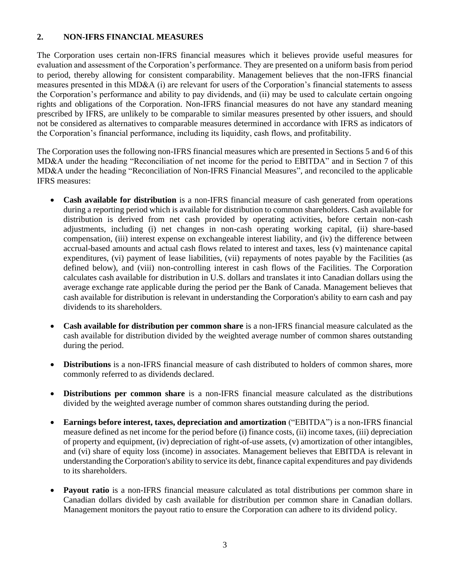## <span id="page-2-0"></span>**2. NON-IFRS FINANCIAL MEASURES**

The Corporation uses certain non-IFRS financial measures which it believes provide useful measures for evaluation and assessment of the Corporation's performance. They are presented on a uniform basis from period to period, thereby allowing for consistent comparability. Management believes that the non-IFRS financial measures presented in this MD&A (i) are relevant for users of the Corporation's financial statements to assess the Corporation's performance and ability to pay dividends, and (ii) may be used to calculate certain ongoing rights and obligations of the Corporation. Non-IFRS financial measures do not have any standard meaning prescribed by IFRS, are unlikely to be comparable to similar measures presented by other issuers, and should not be considered as alternatives to comparable measures determined in accordance with IFRS as indicators of the Corporation's financial performance, including its liquidity, cash flows, and profitability.

The Corporation uses the following non-IFRS financial measures which are presented in Sections 5 and 6 of this MD&A under the heading "Reconciliation of net income for the period to EBITDA" and in Section 7 of this MD&A under the heading "Reconciliation of Non-IFRS Financial Measures", and reconciled to the applicable IFRS measures:

- **Cash available for distribution** is a non-IFRS financial measure of cash generated from operations during a reporting period which is available for distribution to common shareholders. Cash available for distribution is derived from net cash provided by operating activities, before certain non-cash adjustments, including (i) net changes in non-cash operating working capital, (ii) share-based compensation, (iii) interest expense on exchangeable interest liability, and (iv) the difference between accrual-based amounts and actual cash flows related to interest and taxes, less (v) maintenance capital expenditures, (vi) payment of lease liabilities, (vii) repayments of notes payable by the Facilities (as defined below), and (viii) non-controlling interest in cash flows of the Facilities. The Corporation calculates cash available for distribution in U.S. dollars and translates it into Canadian dollars using the average exchange rate applicable during the period per the Bank of Canada. Management believes that cash available for distribution is relevant in understanding the Corporation's ability to earn cash and pay dividends to its shareholders.
- **Cash available for distribution per common share** is a non-IFRS financial measure calculated as the cash available for distribution divided by the weighted average number of common shares outstanding during the period.
- **Distributions** is a non-IFRS financial measure of cash distributed to holders of common shares, more commonly referred to as dividends declared.
- **Distributions per common share** is a non-IFRS financial measure calculated as the distributions divided by the weighted average number of common shares outstanding during the period.
- **Earnings before interest, taxes, depreciation and amortization** ("EBITDA") is a non-IFRS financial measure defined as net income for the period before (i) finance costs, (ii) income taxes, (iii) depreciation of property and equipment, (iv) depreciation of right-of-use assets, (v) amortization of other intangibles, and (vi) share of equity loss (income) in associates. Management believes that EBITDA is relevant in understanding the Corporation's ability to service its debt, finance capital expenditures and pay dividends to its shareholders.
- **Payout ratio** is a non-IFRS financial measure calculated as total distributions per common share in Canadian dollars divided by cash available for distribution per common share in Canadian dollars. Management monitors the payout ratio to ensure the Corporation can adhere to its dividend policy.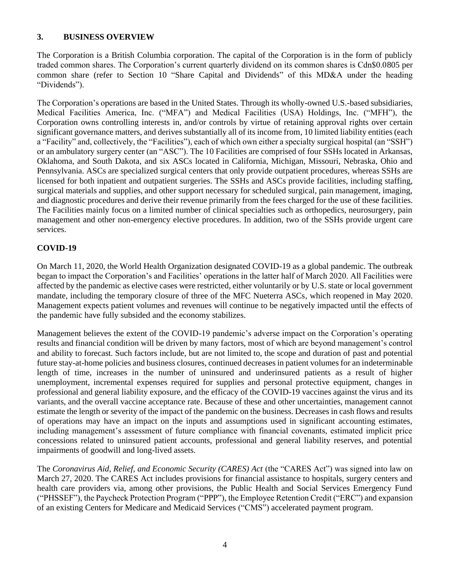# <span id="page-3-0"></span>**3. BUSINESS OVERVIEW**

The Corporation is a British Columbia corporation. The capital of the Corporation is in the form of publicly traded common shares. The Corporation's current quarterly dividend on its common shares is Cdn\$0.0805 per common share (refer to Section 10 "Share Capital and Dividends" of this MD&A under the heading "Dividends").

The Corporation's operations are based in the United States. Through its wholly-owned U.S.-based subsidiaries, Medical Facilities America, Inc. ("MFA") and Medical Facilities (USA) Holdings, Inc. ("MFH"), the Corporation owns controlling interests in, and/or controls by virtue of retaining approval rights over certain significant governance matters, and derives substantially all of its income from, 10 limited liability entities (each a "Facility" and, collectively, the "Facilities"), each of which own either a specialty surgical hospital (an "SSH") or an ambulatory surgery center (an "ASC"). The 10 Facilities are comprised of four SSHs located in Arkansas, Oklahoma, and South Dakota, and six ASCs located in California, Michigan, Missouri, Nebraska, Ohio and Pennsylvania. ASCs are specialized surgical centers that only provide outpatient procedures, whereas SSHs are licensed for both inpatient and outpatient surgeries. The SSHs and ASCs provide facilities, including staffing, surgical materials and supplies, and other support necessary for scheduled surgical, pain management, imaging, and diagnostic procedures and derive their revenue primarily from the fees charged for the use of these facilities. The Facilities mainly focus on a limited number of clinical specialties such as orthopedics, neurosurgery, pain management and other non-emergency elective procedures. In addition, two of the SSHs provide urgent care services.

# **COVID-19**

On March 11, 2020, the World Health Organization designated COVID-19 as a global pandemic. The outbreak began to impact the Corporation's and Facilities' operations in the latter half of March 2020. All Facilities were affected by the pandemic as elective cases were restricted, either voluntarily or by U.S. state or local government mandate, including the temporary closure of three of the MFC Nueterra ASCs, which reopened in May 2020. Management expects patient volumes and revenues will continue to be negatively impacted until the effects of the pandemic have fully subsided and the economy stabilizes.

Management believes the extent of the COVID-19 pandemic's adverse impact on the Corporation's operating results and financial condition will be driven by many factors, most of which are beyond management's control and ability to forecast. Such factors include, but are not limited to, the scope and duration of past and potential future stay-at-home policies and business closures, continued decreases in patient volumes for an indeterminable length of time, increases in the number of uninsured and underinsured patients as a result of higher unemployment, incremental expenses required for supplies and personal protective equipment, changes in professional and general liability exposure, and the efficacy of the COVID-19 vaccines against the virus and its variants, and the overall vaccine acceptance rate. Because of these and other uncertainties, management cannot estimate the length or severity of the impact of the pandemic on the business. Decreases in cash flows and results of operations may have an impact on the inputs and assumptions used in significant accounting estimates, including management's assessment of future compliance with financial covenants, estimated implicit price concessions related to uninsured patient accounts, professional and general liability reserves, and potential impairments of goodwill and long-lived assets.

The *Coronavirus Aid, Relief, and Economic Security (CARES) Act* (the "CARES Act") was signed into law on March 27, 2020. The CARES Act includes provisions for financial assistance to hospitals, surgery centers and health care providers via, among other provisions, the Public Health and Social Services Emergency Fund ("PHSSEF"), the Paycheck Protection Program ("PPP"), the Employee Retention Credit ("ERC") and expansion of an existing Centers for Medicare and Medicaid Services ("CMS") accelerated payment program.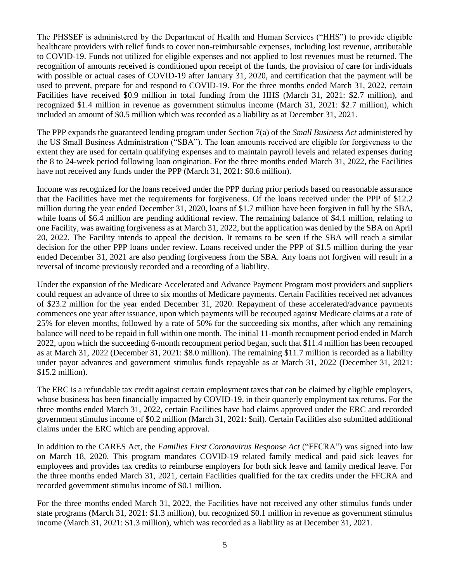The PHSSEF is administered by the Department of Health and Human Services ("HHS") to provide eligible healthcare providers with relief funds to cover non-reimbursable expenses, including lost revenue, attributable to COVID-19. Funds not utilized for eligible expenses and not applied to lost revenues must be returned. The recognition of amounts received is conditioned upon receipt of the funds, the provision of care for individuals with possible or actual cases of COVID-19 after January 31, 2020, and certification that the payment will be used to prevent, prepare for and respond to COVID-19. For the three months ended March 31, 2022, certain Facilities have received \$0.9 million in total funding from the HHS (March 31, 2021: \$2.7 million), and recognized \$1.4 million in revenue as government stimulus income (March 31, 2021: \$2.7 million), which included an amount of \$0.5 million which was recorded as a liability as at December 31, 2021.

The PPP expands the guaranteed lending program under Section 7(a) of the *Small Business Act* administered by the US Small Business Administration ("SBA"). The loan amounts received are eligible for forgiveness to the extent they are used for certain qualifying expenses and to maintain payroll levels and related expenses during the 8 to 24-week period following loan origination. For the three months ended March 31, 2022, the Facilities have not received any funds under the PPP (March 31, 2021: \$0.6 million).

Income was recognized for the loans received under the PPP during prior periods based on reasonable assurance that the Facilities have met the requirements for forgiveness. Of the loans received under the PPP of \$12.2 million during the year ended December 31, 2020, loans of \$1.7 million have been forgiven in full by the SBA, while loans of \$6.4 million are pending additional review. The remaining balance of \$4.1 million, relating to one Facility, was awaiting forgiveness as at March 31, 2022, but the application was denied by the SBA on April 20, 2022. The Facility intends to appeal the decision. It remains to be seen if the SBA will reach a similar decision for the other PPP loans under review. Loans received under the PPP of \$1.5 million during the year ended December 31, 2021 are also pending forgiveness from the SBA. Any loans not forgiven will result in a reversal of income previously recorded and a recording of a liability.

Under the expansion of the Medicare Accelerated and Advance Payment Program most providers and suppliers could request an advance of three to six months of Medicare payments. Certain Facilities received net advances of \$23.2 million for the year ended December 31, 2020. Repayment of these accelerated/advance payments commences one year after issuance, upon which payments will be recouped against Medicare claims at a rate of 25% for eleven months, followed by a rate of 50% for the succeeding six months, after which any remaining balance will need to be repaid in full within one month. The initial 11-month recoupment period ended in March 2022, upon which the succeeding 6-month recoupment period began, such that \$11.4 million has been recouped as at March 31, 2022 (December 31, 2021: \$8.0 million). The remaining \$11.7 million is recorded as a liability under payor advances and government stimulus funds repayable as at March 31, 2022 (December 31, 2021: \$15.2 million).

The ERC is a refundable tax credit against certain employment taxes that can be claimed by eligible employers, whose business has been financially impacted by COVID-19, in their quarterly employment tax returns. For the three months ended March 31, 2022, certain Facilities have had claims approved under the ERC and recorded government stimulus income of \$0.2 million (March 31, 2021: \$nil). Certain Facilities also submitted additional claims under the ERC which are pending approval.

In addition to the CARES Act, the *Families First Coronavirus Response Act* ("FFCRA") was signed into law on March 18, 2020. This program mandates COVID-19 related family medical and paid sick leaves for employees and provides tax credits to reimburse employers for both sick leave and family medical leave. For the three months ended March 31, 2021, certain Facilities qualified for the tax credits under the FFCRA and recorded government stimulus income of \$0.1 million.

For the three months ended March 31, 2022, the Facilities have not received any other stimulus funds under state programs (March 31, 2021: \$1.3 million), but recognized \$0.1 million in revenue as government stimulus income (March 31, 2021: \$1.3 million), which was recorded as a liability as at December 31, 2021.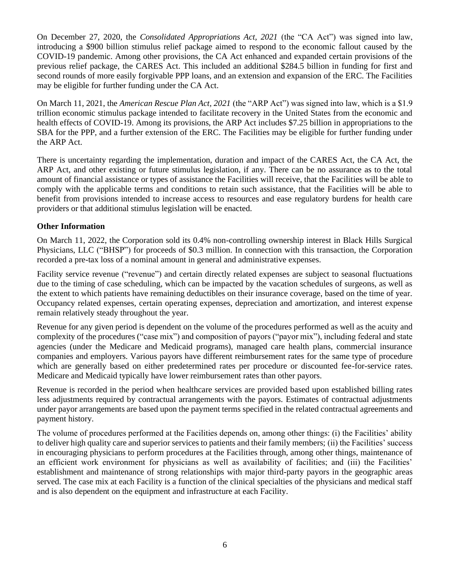On December 27, 2020, the *Consolidated Appropriations Act, 2021* (the "CA Act") was signed into law, introducing a \$900 billion stimulus relief package aimed to respond to the economic fallout caused by the COVID-19 pandemic. Among other provisions, the CA Act enhanced and expanded certain provisions of the previous relief package, the CARES Act. This included an additional \$284.5 billion in funding for first and second rounds of more easily forgivable PPP loans, and an extension and expansion of the ERC. The Facilities may be eligible for further funding under the CA Act.

On March 11, 2021, the *American Rescue Plan Act, 2021* (the "ARP Act") was signed into law, which is a \$1.9 trillion economic stimulus package intended to facilitate recovery in the United States from the economic and health effects of COVID-19. Among its provisions, the ARP Act includes \$7.25 billion in appropriations to the SBA for the PPP, and a further extension of the ERC. The Facilities may be eligible for further funding under the ARP Act.

There is uncertainty regarding the implementation, duration and impact of the CARES Act, the CA Act, the ARP Act, and other existing or future stimulus legislation, if any. There can be no assurance as to the total amount of financial assistance or types of assistance the Facilities will receive, that the Facilities will be able to comply with the applicable terms and conditions to retain such assistance, that the Facilities will be able to benefit from provisions intended to increase access to resources and ease regulatory burdens for health care providers or that additional stimulus legislation will be enacted.

# **Other Information**

On March 11, 2022, the Corporation sold its 0.4% non-controlling ownership interest in Black Hills Surgical Physicians, LLC ("BHSP") for proceeds of \$0.3 million. In connection with this transaction, the Corporation recorded a pre-tax loss of a nominal amount in general and administrative expenses.

Facility service revenue ("revenue") and certain directly related expenses are subject to seasonal fluctuations due to the timing of case scheduling, which can be impacted by the vacation schedules of surgeons, as well as the extent to which patients have remaining deductibles on their insurance coverage, based on the time of year. Occupancy related expenses, certain operating expenses, depreciation and amortization, and interest expense remain relatively steady throughout the year.

Revenue for any given period is dependent on the volume of the procedures performed as well as the acuity and complexity of the procedures ("case mix") and composition of payors ("payor mix"), including federal and state agencies (under the Medicare and Medicaid programs), managed care health plans, commercial insurance companies and employers. Various payors have different reimbursement rates for the same type of procedure which are generally based on either predetermined rates per procedure or discounted fee-for-service rates. Medicare and Medicaid typically have lower reimbursement rates than other payors.

Revenue is recorded in the period when healthcare services are provided based upon established billing rates less adjustments required by contractual arrangements with the payors. Estimates of contractual adjustments under payor arrangements are based upon the payment terms specified in the related contractual agreements and payment history.

The volume of procedures performed at the Facilities depends on, among other things: (i) the Facilities' ability to deliver high quality care and superior services to patients and their family members; (ii) the Facilities' success in encouraging physicians to perform procedures at the Facilities through, among other things, maintenance of an efficient work environment for physicians as well as availability of facilities; and (iii) the Facilities' establishment and maintenance of strong relationships with major third-party payors in the geographic areas served. The case mix at each Facility is a function of the clinical specialties of the physicians and medical staff and is also dependent on the equipment and infrastructure at each Facility.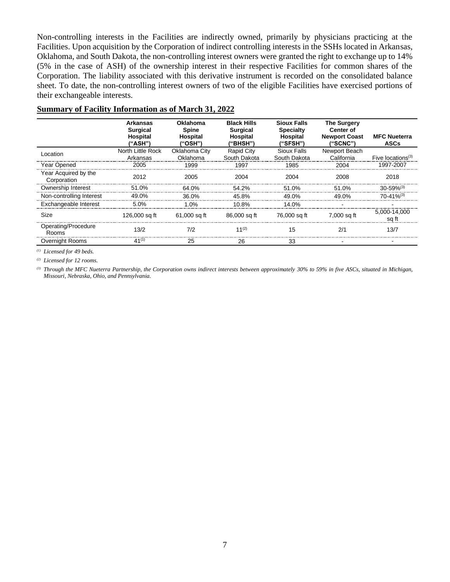Non-controlling interests in the Facilities are indirectly owned, primarily by physicians practicing at the Facilities. Upon acquisition by the Corporation of indirect controlling interests in the SSHs located in Arkansas, Oklahoma, and South Dakota, the non-controlling interest owners were granted the right to exchange up to 14% (5% in the case of ASH) of the ownership interest in their respective Facilities for common shares of the Corporation. The liability associated with this derivative instrument is recorded on the consolidated balance sheet. To date, the non-controlling interest owners of two of the eligible Facilities have exercised portions of their exchangeable interests.

|                                     | Arkansas<br><b>Surgical</b><br>Hospital<br>("ASH") | <b>Oklahoma</b><br><b>Spine</b><br>Hospital<br>("OSH") | <b>Black Hills</b><br><b>Surgical</b><br>Hospital<br>("BHSH") | <b>Sioux Falls</b><br><b>Specialty</b><br>Hospital<br>("SFSH") | <b>The Surgery</b><br>Center of<br><b>Newport Coast</b><br>("SCNC") | <b>MFC Nueterra</b><br><b>ASCs</b> |
|-------------------------------------|----------------------------------------------------|--------------------------------------------------------|---------------------------------------------------------------|----------------------------------------------------------------|---------------------------------------------------------------------|------------------------------------|
| Location                            | North Little Rock                                  | Oklahoma City                                          | <b>Rapid City</b>                                             | <b>Sioux Falls</b>                                             | Newport Beach                                                       |                                    |
|                                     | Arkansas                                           | Oklahoma                                               | South Dakota                                                  | South Dakota                                                   | California                                                          | Five locations $(3)$               |
| Year Opened                         | 2005                                               | 1999                                                   | 1997                                                          | 1985                                                           | 2004                                                                | 1997-2007                          |
| Year Acquired by the<br>Corporation | 2012                                               | 2005                                                   | 2004                                                          | 2004                                                           | 2008                                                                | 2018                               |
| Ownership Interest                  | 51.0%                                              | 64.0%                                                  | 54.2%                                                         | 51.0%                                                          | 51.0%                                                               | $30 - 59%$ <sup>(3)</sup>          |
| Non-controlling Interest            | 49.0%                                              | 36.0%                                                  | 45.8%                                                         | 49.0%                                                          | 49 0%                                                               | $70 - 41%$ <sup>(3)</sup>          |
| Exchangeable Interest               | 5.0%                                               | 1 በ%                                                   | 10.8%                                                         | 14 በ%                                                          |                                                                     |                                    |
| Size                                | 126,000 sq ft                                      | 61,000 sq ft                                           | 86,000 sq ft                                                  | 76,000 sa ft                                                   | 7.000 sa ft                                                         | 5,000-14,000<br>sg ft              |
| Operating/Procedure<br>Rooms        | 13/2                                               | 7/2                                                    | $11^{(2)}$                                                    | 15                                                             | 2/1                                                                 | 13/7                               |
| Overnight Rooms                     | $41^{(1)}$                                         | 25                                                     | 26                                                            | 33                                                             |                                                                     |                                    |

*(1) Licensed for 49 beds.*

*(2) Licensed for 12 rooms.*

*(3) Through the MFC Nueterra Partnership, the Corporation owns indirect interests between approximately 30% to 59% in five ASCs, situated in Michigan, Missouri, Nebraska, Ohio, and Pennsylvania.*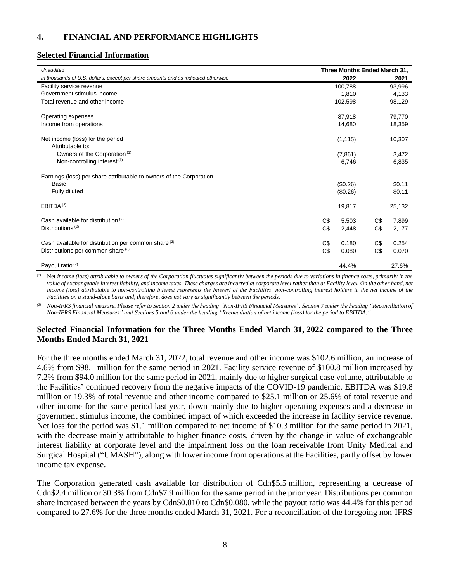#### <span id="page-7-0"></span>**4. FINANCIAL AND PERFORMANCE HIGHLIGHTS**

#### **Selected Financial Information**

| <b>Unaudited</b>                                                                  | Three Months Ended March 31, |          |     |        |
|-----------------------------------------------------------------------------------|------------------------------|----------|-----|--------|
| In thousands of U.S. dollars, except per share amounts and as indicated otherwise |                              | 2022     |     | 2021   |
| Facility service revenue                                                          |                              | 100,788  |     | 93,996 |
| Government stimulus income                                                        |                              | 1,810    |     | 4,133  |
| Total revenue and other income                                                    |                              | 102,598  |     | 98,129 |
| Operating expenses                                                                |                              | 87,918   |     | 79,770 |
| Income from operations                                                            |                              | 14,680   |     | 18,359 |
| Net income (loss) for the period<br>Attributable to:                              |                              | (1, 115) |     | 10,307 |
| Owners of the Corporation <sup>(1)</sup>                                          |                              | (7,861)  |     | 3,472  |
| Non-controlling interest <sup>(1)</sup>                                           |                              | 6,746    |     | 6,835  |
| Earnings (loss) per share attributable to owners of the Corporation               |                              |          |     |        |
| <b>Basic</b>                                                                      |                              | (\$0.26) |     | \$0.11 |
| Fully diluted                                                                     |                              | (\$0.26) |     | \$0.11 |
| EBITDA <sup>(2)</sup>                                                             |                              | 19,817   |     | 25,132 |
| Cash available for distribution (2)                                               | C\$                          | 5,503    | C\$ | 7,899  |
| Distributions <sup>(2)</sup>                                                      | C\$                          | 2,448    | C\$ | 2,177  |
| Cash available for distribution per common share (2)                              | C\$                          | 0.180    | C\$ | 0.254  |
| Distributions per common share <sup>(2)</sup>                                     | C\$                          | 0.080    | C\$ | 0.070  |
| Payout ratio <sup>(2)</sup>                                                       |                              | 44.4%    |     | 27.6%  |

*(1)* Net *income (loss) attributable to owners of the Corporation fluctuates significantly between the periods due to variations in finance costs, primarily in the*  value of exchangeable interest liability, and income taxes. These charges are incurred at corporate level rather than at Facility level. On the other hand, net *income (loss) attributable to non-controlling interest represents the interest of the Facilities' non-controlling interest holders in the net income of the Facilities on a stand-alone basis and, therefore, does not vary as significantly between the periods.*

*(2) Non-IFRS financial measure. Please refer to Section 2 under the heading "Non-IFRS Financial Measures", Section 7 under the heading "Reconciliation of Non-IFRS Financial Measures" and Sections 5 and 6 under the heading "Reconciliation of net income (loss) for the period to EBITDA."*

## **Selected Financial Information for the Three Months Ended March 31, 2022 compared to the Three Months Ended March 31, 2021**

For the three months ended March 31, 2022, total revenue and other income was \$102.6 million, an increase of 4.6% from \$98.1 million for the same period in 2021. Facility service revenue of \$100.8 million increased by 7.2% from \$94.0 million for the same period in 2021, mainly due to higher surgical case volume, attributable to the Facilities' continued recovery from the negative impacts of the COVID-19 pandemic. EBITDA was \$19.8 million or 19.3% of total revenue and other income compared to \$25.1 million or 25.6% of total revenue and other income for the same period last year, down mainly due to higher operating expenses and a decrease in government stimulus income, the combined impact of which exceeded the increase in facility service revenue. Net loss for the period was \$1.1 million compared to net income of \$10.3 million for the same period in 2021, with the decrease mainly attributable to higher finance costs, driven by the change in value of exchangeable interest liability at corporate level and the impairment loss on the loan receivable from Unity Medical and Surgical Hospital ("UMASH"), along with lower income from operations at the Facilities, partly offset by lower income tax expense.

The Corporation generated cash available for distribution of Cdn\$5.5 million, representing a decrease of Cdn\$2.4 million or 30.3% from Cdn\$7.9 million for the same period in the prior year. Distributions per common share increased between the years by Cdn\$0.010 to Cdn\$0.080, while the payout ratio was 44.4% for this period compared to 27.6% for the three months ended March 31, 2021. For a reconciliation of the foregoing non-IFRS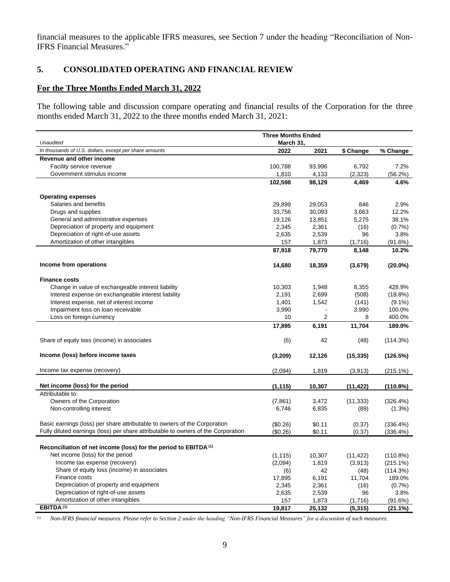financial measures to the applicable IFRS measures, see Section 7 under the heading "Reconciliation of Non-IFRS Financial Measures."

# <span id="page-8-0"></span>**5. CONSOLIDATED OPERATING AND FINANCIAL REVIEW**

#### **For the Three Months Ended March 31, 2022**

The following table and discussion compare operating and financial results of the Corporation for the three months ended March 31, 2022 to the three months ended March 31, 2021:

| <b>Three Months Ended</b>                                                         |                |                |            |               |
|-----------------------------------------------------------------------------------|----------------|----------------|------------|---------------|
| Unaudited                                                                         | March 31,      |                |            |               |
| In thousands of U.S. dollars, except per share amounts                            | 2022           | 2021           | \$ Change  | % Change      |
| Revenue and other income                                                          |                |                |            |               |
| Facility service revenue                                                          | 100,788        | 93.996         | 6,792      | 7.2%          |
| Government stimulus income                                                        | 1,810          | 4,133          | (2, 323)   | (56.2%)       |
|                                                                                   | 102,598        | 98,129         | 4,469      | 4.6%          |
|                                                                                   |                |                |            |               |
| <b>Operating expenses</b>                                                         |                |                |            |               |
| Salaries and benefits                                                             | 29,899         | 29,053         | 846        | 2.9%          |
| Drugs and supplies                                                                | 33,756         | 30,093         | 3,663      | 12.2%         |
| General and administrative expenses                                               | 19,126         | 13,851         | 5,275      | 38.1%         |
| Depreciation of property and equipment                                            | 2,345          | 2,361          | (16)       | (0.7%         |
| Depreciation of right-of-use assets                                               | 2,635          | 2,539          | 96         | 3.8%          |
| Amortization of other intangibles                                                 | 157            | 1,873          | (1,716)    | (91.6%)       |
|                                                                                   | 87,918         | 79,770         | 8,148      | 10.2%         |
| Income from operations                                                            | 14,680         | 18,359         | (3,679)    | $(20.0\%)$    |
|                                                                                   |                |                |            |               |
| <b>Finance costs</b>                                                              |                |                |            |               |
| Change in value of exchangeable interest liability                                | 10,303         | 1,948          | 8,355      | 428.9%        |
| Interest expense on exchangeable interest liability                               | 2,191          | 2,699          | (508)      | (18.8%)       |
| Interest expense, net of interest income                                          | 1,401          | 1,542          | (141)      | $(9.1\%)$     |
| Impairment loss on loan receivable                                                | 3,990          |                | 3,990      | 100.0%        |
| Loss on foreign currency                                                          | 10             | 2              | 8          | 400.0%        |
|                                                                                   | 17,895         | 6,191          | 11,704     | 189.0%        |
|                                                                                   |                |                |            |               |
| Share of equity loss (income) in associates                                       | (6)            | 42             | (48)       | (114.3%)      |
|                                                                                   |                |                |            |               |
| Income (loss) before income taxes                                                 | (3,209)        | 12,126         | (15, 335)  | (126.5%)      |
|                                                                                   |                |                |            |               |
| Income tax expense (recovery)                                                     | (2,094)        | 1,819          | (3,913)    | $(215.1\%)$   |
|                                                                                   |                |                |            |               |
| Net income (loss) for the period<br>Attributable to:                              | (1, 115)       | 10,307         | (11, 422)  | (110.8%)      |
| Owners of the Corporation                                                         |                |                |            | (326.4%)      |
|                                                                                   | (7, 861)       | 3,472          | (11, 333)  |               |
| Non-controlling interest                                                          | 6,746          | 6,835          | (89)       | $(1.3\%)$     |
| Basic earnings (loss) per share attributable to owners of the Corporation         | (\$0.26)       | \$0.11         |            | $(336.4\%)$   |
| Fully diluted earnings (loss) per share attributable to owners of the Corporation |                | \$0.11         | (0.37)     |               |
|                                                                                   | (\$0.26)       |                | (0.37)     | (336.4%)      |
| Reconciliation of net income (loss) for the period to EBITDA <sup>(1)</sup>       |                |                |            |               |
| Net income (loss) for the period                                                  |                |                |            |               |
| Income tax expense (recovery)                                                     | (1, 115)       | 10,307         | (11, 422)  | $(110.8\%)$   |
| Share of equity loss (income) in associates                                       | (2,094)        | 1,819          | (3,913)    | $(215.1\%)$   |
| Finance costs                                                                     | (6)            | 42             | (48)       | (114.3%)      |
| Depreciation of property and equipment                                            | 17,895         | 6,191          | 11,704     | 189.0%        |
| Depreciation of right-of-use assets                                               | 2,345<br>2,635 | 2,361<br>2,539 | (16)<br>96 | (0.7%<br>3.8% |
| Amortization of other intangibles                                                 | 157            | 1,873          |            |               |
| EBITDA <sup>(1)</sup>                                                             | 19,817         | 25,132         | (1,716)    | (91.6%)       |
|                                                                                   |                |                | (5, 315)   | (21.1%)       |

*(1) Non-IFRS financial measures. Please refer to Section 2 under the heading "Non-IFRS Financial Measures" for a discussion of such measures.*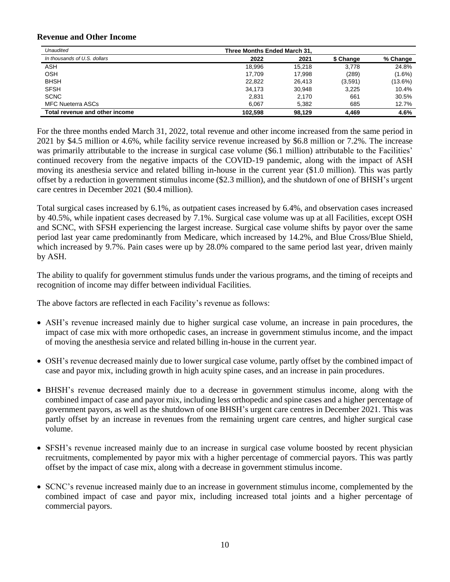#### **Revenue and Other Income**

| Unaudited                      | Three Months Ended March 31, |        |           |            |
|--------------------------------|------------------------------|--------|-----------|------------|
| In thousands of U.S. dollars   | 2022                         | 2021   | \$ Change | % Change   |
| ASH                            | 18.996                       | 15.218 | 3.778     | 24.8%      |
| OSH                            | 17.709                       | 17.998 | (289)     | $(1.6\%)$  |
| <b>BHSH</b>                    | 22,822                       | 26,413 | (3,591)   | $(13.6\%)$ |
| <b>SFSH</b>                    | 34.173                       | 30,948 | 3.225     | 10.4%      |
| <b>SCNC</b>                    | 2.831                        | 2.170  | 661       | 30.5%      |
| <b>MFC Nueterra ASCs</b>       | 6.067                        | 5.382  | 685       | 12.7%      |
| Total revenue and other income | 102.598                      | 98.129 | 4.469     | 4.6%       |

For the three months ended March 31, 2022, total revenue and other income increased from the same period in 2021 by \$4.5 million or 4.6%, while facility service revenue increased by \$6.8 million or 7.2%. The increase was primarily attributable to the increase in surgical case volume (\$6.1 million) attributable to the Facilities' continued recovery from the negative impacts of the COVID-19 pandemic, along with the impact of ASH moving its anesthesia service and related billing in-house in the current year (\$1.0 million). This was partly offset by a reduction in government stimulus income (\$2.3 million), and the shutdown of one of BHSH's urgent care centres in December 2021 (\$0.4 million).

Total surgical cases increased by 6.1%, as outpatient cases increased by 6.4%, and observation cases increased by 40.5%, while inpatient cases decreased by 7.1%. Surgical case volume was up at all Facilities, except OSH and SCNC, with SFSH experiencing the largest increase. Surgical case volume shifts by payor over the same period last year came predominantly from Medicare, which increased by 14.2%, and Blue Cross/Blue Shield, which increased by 9.7%. Pain cases were up by 28.0% compared to the same period last year, driven mainly by ASH.

The ability to qualify for government stimulus funds under the various programs, and the timing of receipts and recognition of income may differ between individual Facilities.

The above factors are reflected in each Facility's revenue as follows:

- ASH's revenue increased mainly due to higher surgical case volume, an increase in pain procedures, the impact of case mix with more orthopedic cases, an increase in government stimulus income, and the impact of moving the anesthesia service and related billing in-house in the current year.
- OSH's revenue decreased mainly due to lower surgical case volume, partly offset by the combined impact of case and payor mix, including growth in high acuity spine cases, and an increase in pain procedures.
- BHSH's revenue decreased mainly due to a decrease in government stimulus income, along with the combined impact of case and payor mix, including less orthopedic and spine cases and a higher percentage of government payors, as well as the shutdown of one BHSH's urgent care centres in December 2021. This was partly offset by an increase in revenues from the remaining urgent care centres, and higher surgical case volume.
- SFSH's revenue increased mainly due to an increase in surgical case volume boosted by recent physician recruitments, complemented by payor mix with a higher percentage of commercial payors. This was partly offset by the impact of case mix, along with a decrease in government stimulus income.
- SCNC's revenue increased mainly due to an increase in government stimulus income, complemented by the combined impact of case and payor mix, including increased total joints and a higher percentage of commercial payors.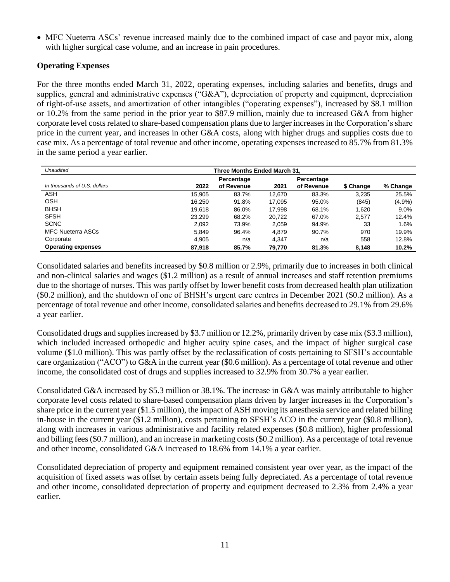• MFC Nueterra ASCs' revenue increased mainly due to the combined impact of case and payor mix, along with higher surgical case volume, and an increase in pain procedures.

## **Operating Expenses**

For the three months ended March 31, 2022, operating expenses, including salaries and benefits, drugs and supplies, general and administrative expenses ("G&A"), depreciation of property and equipment, depreciation of right-of-use assets, and amortization of other intangibles ("operating expenses"), increased by \$8.1 million or 10.2% from the same period in the prior year to \$87.9 million, mainly due to increased G&A from higher corporate level costs related to share-based compensation plans due to larger increases in the Corporation's share price in the current year, and increases in other G&A costs, along with higher drugs and supplies costs due to case mix. As a percentage of total revenue and other income, operating expenses increased to 85.7% from 81.3% in the same period a year earlier.

| Unaudited                    | Three Months Ended March 31. |                          |        |                          |           |           |
|------------------------------|------------------------------|--------------------------|--------|--------------------------|-----------|-----------|
| In thousands of U.S. dollars | 2022                         | Percentage<br>of Revenue | 2021   | Percentage<br>of Revenue | \$ Change | % Change  |
| <b>ASH</b>                   | 15.905                       | 83.7%                    | 12,670 | 83.3%                    | 3.235     | 25.5%     |
| <b>OSH</b>                   | 16.250                       | 91.8%                    | 17.095 | 95.0%                    | (845)     | $(4.9\%)$ |
| <b>BHSH</b>                  | 19.618                       | 86.0%                    | 17.998 | 68.1%                    | 1.620     | $9.0\%$   |
| <b>SFSH</b>                  | 23.299                       | 68.2%                    | 20.722 | 67.0%                    | 2.577     | 12.4%     |
| <b>SCNC</b>                  | 2,092                        | 73.9%                    | 2.059  | 94.9%                    | 33        | 1.6%      |
| <b>MFC Nueterra ASCs</b>     | 5.849                        | 96.4%                    | 4.879  | 90.7%                    | 970       | 19.9%     |
| Corporate                    | 4,905                        | n/a                      | 4.347  | n/a                      | 558       | 12.8%     |
| <b>Operating expenses</b>    | 87.918                       | 85.7%                    | 79.770 | 81.3%                    | 8.148     | 10.2%     |

Consolidated salaries and benefits increased by \$0.8 million or 2.9%, primarily due to increases in both clinical and non-clinical salaries and wages (\$1.2 million) as a result of annual increases and staff retention premiums due to the shortage of nurses. This was partly offset by lower benefit costs from decreased health plan utilization (\$0.2 million), and the shutdown of one of BHSH's urgent care centres in December 2021 (\$0.2 million). As a percentage of total revenue and other income, consolidated salaries and benefits decreased to 29.1% from 29.6% a year earlier.

Consolidated drugs and supplies increased by \$3.7 million or 12.2%, primarily driven by case mix (\$3.3 million), which included increased orthopedic and higher acuity spine cases, and the impact of higher surgical case volume (\$1.0 million). This was partly offset by the reclassification of costs pertaining to SFSH's accountable care organization ("ACO") to G&A in the current year (\$0.6 million). As a percentage of total revenue and other income, the consolidated cost of drugs and supplies increased to 32.9% from 30.7% a year earlier.

Consolidated G&A increased by \$5.3 million or 38.1%. The increase in G&A was mainly attributable to higher corporate level costs related to share-based compensation plans driven by larger increases in the Corporation's share price in the current year (\$1.5 million), the impact of ASH moving its anesthesia service and related billing in-house in the current year (\$1.2 million), costs pertaining to SFSH's ACO in the current year (\$0.8 million), along with increases in various administrative and facility related expenses (\$0.8 million), higher professional and billing fees (\$0.7 million), and an increase in marketing costs (\$0.2 million). As a percentage of total revenue and other income, consolidated G&A increased to 18.6% from 14.1% a year earlier.

Consolidated depreciation of property and equipment remained consistent year over year, as the impact of the acquisition of fixed assets was offset by certain assets being fully depreciated. As a percentage of total revenue and other income, consolidated depreciation of property and equipment decreased to 2.3% from 2.4% a year earlier.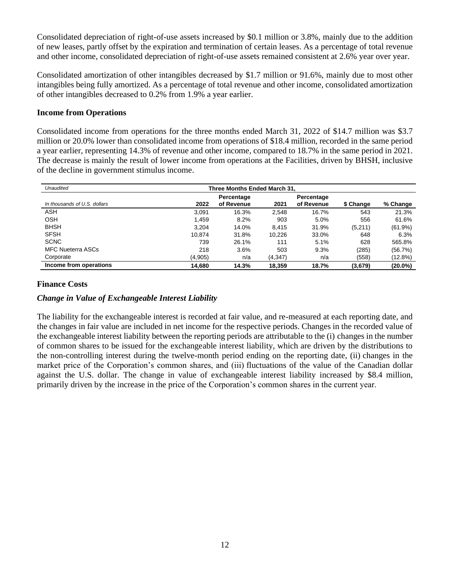Consolidated depreciation of right-of-use assets increased by \$0.1 million or 3.8%, mainly due to the addition of new leases, partly offset by the expiration and termination of certain leases. As a percentage of total revenue and other income, consolidated depreciation of right-of-use assets remained consistent at 2.6% year over year.

Consolidated amortization of other intangibles decreased by \$1.7 million or 91.6%, mainly due to most other intangibles being fully amortized. As a percentage of total revenue and other income, consolidated amortization of other intangibles decreased to 0.2% from 1.9% a year earlier.

#### **Income from Operations**

Consolidated income from operations for the three months ended March 31, 2022 of \$14.7 million was \$3.7 million or 20.0% lower than consolidated income from operations of \$18.4 million, recorded in the same period a year earlier, representing 14.3% of revenue and other income, compared to 18.7% in the same period in 2021. The decrease is mainly the result of lower income from operations at the Facilities, driven by BHSH, inclusive of the decline in government stimulus income.

| Unaudited                    | Three Months Ended March 31. |                          |          |                          |           |            |  |  |
|------------------------------|------------------------------|--------------------------|----------|--------------------------|-----------|------------|--|--|
| In thousands of U.S. dollars | 2022                         | Percentage<br>of Revenue | 2021     | Percentage<br>of Revenue | \$ Change | % Change   |  |  |
| <b>ASH</b>                   | 3.091                        | 16.3%                    | 2.548    | 16.7%                    | 543       | 21.3%      |  |  |
| <b>OSH</b>                   | 1.459                        | 8.2%                     | 903      | 5.0%                     | 556       | 61.6%      |  |  |
| <b>BHSH</b>                  | 3.204                        | 14.0%                    | 8.415    | 31.9%                    | (5,211)   | $(61.9\%)$ |  |  |
| <b>SFSH</b>                  | 10.874                       | 31.8%                    | 10.226   | 33.0%                    | 648       | 6.3%       |  |  |
| <b>SCNC</b>                  | 739                          | 26.1%                    | 111      | 5.1%                     | 628       | 565.8%     |  |  |
| <b>MFC Nueterra ASCs</b>     | 218                          | 3.6%                     | 503      | 9.3%                     | (285)     | (56.7%)    |  |  |
| Corporate                    | (4,905)                      | n/a                      | (4, 347) | n/a                      | (558)     | (12.8%)    |  |  |
| Income from operations       | 14.680                       | 14.3%                    | 18.359   | 18.7%                    | (3,679)   | $(20.0\%)$ |  |  |

#### **Finance Costs**

## *Change in Value of Exchangeable Interest Liability*

The liability for the exchangeable interest is recorded at fair value, and re-measured at each reporting date, and the changes in fair value are included in net income for the respective periods. Changes in the recorded value of the exchangeable interest liability between the reporting periods are attributable to the (i) changes in the number of common shares to be issued for the exchangeable interest liability, which are driven by the distributions to the non-controlling interest during the twelve-month period ending on the reporting date, (ii) changes in the market price of the Corporation's common shares, and (iii) fluctuations of the value of the Canadian dollar against the U.S. dollar. The change in value of exchangeable interest liability increased by \$8.4 million, primarily driven by the increase in the price of the Corporation's common shares in the current year.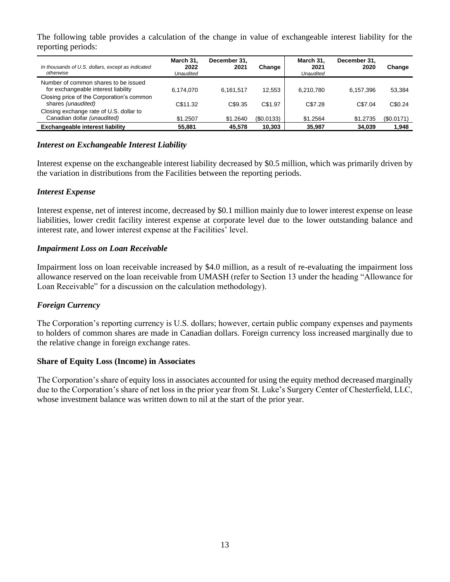The following table provides a calculation of the change in value of exchangeable interest liability for the reporting periods:

| In thousands of U.S. dollars, except as indicated<br>otherwise              | March 31.<br>2022<br>Unaudited | December 31.<br>2021 | Change    | March 31.<br>2021<br>Unaudited | December 31.<br>2020 | Change     |
|-----------------------------------------------------------------------------|--------------------------------|----------------------|-----------|--------------------------------|----------------------|------------|
| Number of common shares to be issued<br>for exchangeable interest liability | 6.174.070                      | 6.161.517            | 12.553    | 6.210.780                      | 6.157.396            | 53,384     |
| Closing price of the Corporation's common<br>shares (unaudited)             | C\$11.32                       | C\$9.35              | C\$1.97   | C\$7.28                        | C\$7.04              | C\$0.24    |
| Closing exchange rate of U.S. dollar to<br>Canadian dollar (unaudited)      | \$1.2507                       | \$1.2640             | (S0.0133) | \$1.2564                       | \$1,2735             | (\$0.0171) |
| <b>Exchangeable interest liability</b>                                      | 55.881                         | 45.578               | 10.303    | 35.987                         | 34.039               | 1.948      |

## *Interest on Exchangeable Interest Liability*

Interest expense on the exchangeable interest liability decreased by \$0.5 million, which was primarily driven by the variation in distributions from the Facilities between the reporting periods.

#### *Interest Expense*

Interest expense, net of interest income, decreased by \$0.1 million mainly due to lower interest expense on lease liabilities, lower credit facility interest expense at corporate level due to the lower outstanding balance and interest rate, and lower interest expense at the Facilities' level.

#### *Impairment Loss on Loan Receivable*

Impairment loss on loan receivable increased by \$4.0 million, as a result of re-evaluating the impairment loss allowance reserved on the loan receivable from UMASH (refer to Section 13 under the heading "Allowance for Loan Receivable" for a discussion on the calculation methodology).

## *Foreign Currency*

The Corporation's reporting currency is U.S. dollars; however, certain public company expenses and payments to holders of common shares are made in Canadian dollars. Foreign currency loss increased marginally due to the relative change in foreign exchange rates.

#### **Share of Equity Loss (Income) in Associates**

The Corporation's share of equity loss in associates accounted for using the equity method decreased marginally due to the Corporation's share of net loss in the prior year from St. Luke's Surgery Center of Chesterfield, LLC, whose investment balance was written down to nil at the start of the prior year.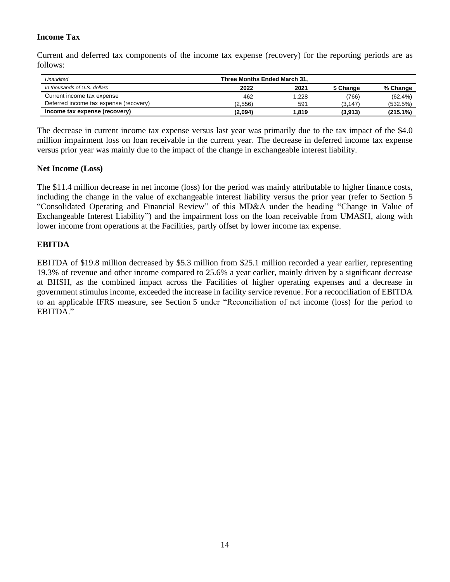# **Income Tax**

Current and deferred tax components of the income tax expense (recovery) for the reporting periods are as follows:

| Unaudited                              | Three Months Ended March 31, |       |           |             |  |
|----------------------------------------|------------------------------|-------|-----------|-------------|--|
| In thousands of U.S. dollars           | 2022                         | 2021  | \$ Change | % Change    |  |
| Current income tax expense             | 462                          | 1,228 | (766)     | (62.4%)     |  |
| Deferred income tax expense (recovery) | (2,556)                      | 591   | (3, 147)  | (532.5%)    |  |
| Income tax expense (recovery)          | (2,094)                      | 1,819 | (3,913)   | $(215.1\%)$ |  |

The decrease in current income tax expense versus last year was primarily due to the tax impact of the \$4.0 million impairment loss on loan receivable in the current year. The decrease in deferred income tax expense versus prior year was mainly due to the impact of the change in exchangeable interest liability.

## **Net Income (Loss)**

The \$11.4 million decrease in net income (loss) for the period was mainly attributable to higher finance costs, including the change in the value of exchangeable interest liability versus the prior year (refer to Section 5 "Consolidated Operating and Financial Review" of this MD&A under the heading "Change in Value of Exchangeable Interest Liability") and the impairment loss on the loan receivable from UMASH, along with lower income from operations at the Facilities, partly offset by lower income tax expense.

# **EBITDA**

EBITDA of \$19.8 million decreased by \$5.3 million from \$25.1 million recorded a year earlier, representing 19.3% of revenue and other income compared to 25.6% a year earlier, mainly driven by a significant decrease at BHSH, as the combined impact across the Facilities of higher operating expenses and a decrease in government stimulus income, exceeded the increase in facility service revenue. For a reconciliation of EBITDA to an applicable IFRS measure, see Section 5 under "Reconciliation of net income (loss) for the period to EBITDA."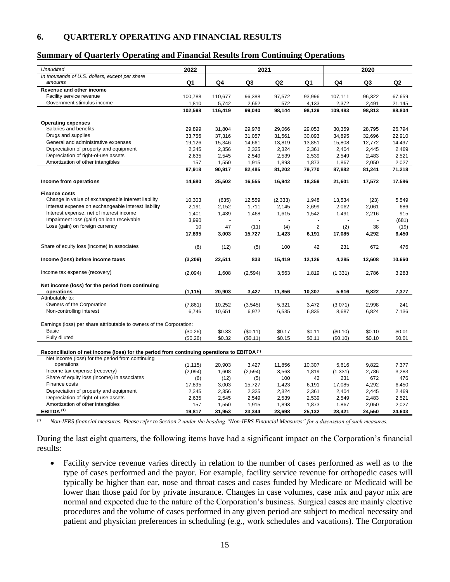#### <span id="page-14-0"></span>**6. QUARTERLY OPERATING AND FINANCIAL RESULTS**

#### **Summary of Quarterly Operating and Financial Results from Continuing Operations**

| <b>Unaudited</b>                                                                                       | 2022                 |         | 2021     |          |                |          | 2020   |                |
|--------------------------------------------------------------------------------------------------------|----------------------|---------|----------|----------|----------------|----------|--------|----------------|
| In thousands of U.S. dollars, except per share<br>amounts                                              | Q1                   | Q4      | Q3       | Q2       | Q1             | Q4       | Q3     | Q <sub>2</sub> |
| Revenue and other income                                                                               |                      |         |          |          |                |          |        |                |
| Facility service revenue                                                                               | 100,788              | 110,677 | 96,388   | 97,572   | 93,996         | 107,111  | 96,322 | 67,659         |
| Government stimulus income                                                                             | 1,810                | 5,742   | 2,652    | 572      | 4,133          | 2,372    | 2,491  | 21,145         |
|                                                                                                        | 102,598              | 116,419 | 99,040   | 98,144   | 98,129         | 109,483  | 98,813 | 88,804         |
|                                                                                                        |                      |         |          |          |                |          |        |                |
| <b>Operating expenses</b>                                                                              |                      |         |          |          |                |          |        |                |
| Salaries and benefits                                                                                  | 29,899               | 31,804  | 29,978   | 29,066   | 29.053         | 30,359   | 28,795 | 26,794         |
| Drugs and supplies                                                                                     | 33,756               | 37,316  | 31,057   | 31,561   | 30,093         | 34,895   | 32,696 | 22,910         |
| General and administrative expenses                                                                    | 19,126               | 15,346  | 14,661   | 13,819   | 13,851         | 15,808   | 12,772 | 14,497         |
| Depreciation of property and equipment                                                                 | 2,345                | 2,356   | 2,325    | 2,324    | 2,361          | 2,404    | 2,445  | 2,469          |
| Depreciation of right-of-use assets                                                                    | 2,635                | 2,545   | 2,549    | 2,539    | 2,539          | 2,549    | 2,483  | 2,521          |
| Amortization of other intangibles                                                                      | 157                  | 1,550   | 1,915    | 1,893    | 1,873          | 1,867    | 2,050  | 2,027          |
|                                                                                                        | 87,918               | 90,917  | 82,485   | 81,202   | 79,770         | 87,882   | 81,241 | 71,218         |
| Income from operations                                                                                 | 14,680               | 25,502  | 16,555   | 16,942   | 18,359         | 21,601   | 17,572 | 17,586         |
| <b>Finance costs</b>                                                                                   |                      |         |          |          |                |          |        |                |
| Change in value of exchangeable interest liability                                                     | 10,303               | (635)   | 12,559   | (2, 333) | 1,948          | 13,534   | (23)   | 5,549          |
| Interest expense on exchangeable interest liability                                                    | 2,191                | 2,152   | 1,711    | 2,145    | 2,699          | 2,062    | 2,061  | 686            |
| Interest expense, net of interest income                                                               | 1,401                | 1,439   | 1,468    | 1,615    | 1,542          | 1,491    | 2,216  | 915            |
| Impairment loss (gain) on loan receivable                                                              | 3,990                |         |          |          |                |          |        | (681)          |
| Loss (gain) on foreign currency                                                                        | 10                   | 47      | (11)     | (4)      | $\overline{2}$ | (2)      | 38     | (19)           |
|                                                                                                        | 17,895               | 3,003   | 15,727   | 1,423    | 6,191          | 17,085   | 4,292  | 6,450          |
|                                                                                                        |                      |         |          |          |                |          |        |                |
| Share of equity loss (income) in associates                                                            | (6)                  | (12)    | (5)      | 100      | 42             | 231      | 672    | 476            |
| Income (loss) before income taxes                                                                      | (3,209)              | 22,511  | 833      | 15,419   | 12,126         | 4,285    | 12,608 | 10,660         |
| Income tax expense (recovery)                                                                          | (2,094)              | 1,608   | (2, 594) | 3,563    | 1,819          | (1, 331) | 2,786  | 3,283          |
| Net income (loss) for the period from continuing                                                       |                      |         |          |          |                |          |        |                |
| operations                                                                                             | (1, 115)             | 20,903  | 3,427    | 11,856   | 10,307         | 5,616    | 9,822  | 7,377          |
| Attributable to:                                                                                       |                      |         |          |          |                |          |        |                |
| Owners of the Corporation                                                                              | (7,861)              | 10,252  | (3, 545) | 5,321    | 3,472          | (3,071)  | 2,998  | 241            |
| Non-controlling interest                                                                               | 6,746                | 10,651  | 6,972    | 6,535    | 6,835          | 8,687    | 6,824  | 7,136          |
| Earnings (loss) per share attributable to owners of the Corporation:                                   |                      |         |          |          |                |          |        |                |
| <b>Basic</b>                                                                                           |                      | \$0.33  | (\$0.11) | \$0.17   | \$0.11         | (\$0.10) | \$0.10 | \$0.01         |
| Fully diluted                                                                                          | (\$0.26)<br>(\$0.26) |         |          |          |                | (S0.10)  | \$0.10 | \$0.01         |
|                                                                                                        |                      | \$0.32  | (\$0.11) | \$0.15   | \$0.11         |          |        |                |
| Reconciliation of net income (loss) for the period from continuing operations to EBITDA <sup>(1)</sup> |                      |         |          |          |                |          |        |                |
| Net income (loss) for the period from continuing                                                       |                      |         |          |          |                |          |        |                |
| operations                                                                                             | (1, 115)             | 20,903  | 3,427    | 11,856   | 10,307         | 5,616    | 9,822  | 7,377          |
| Income tax expense (recovery)                                                                          | (2,094)              | 1,608   | (2, 594) | 3,563    | 1,819          | (1, 331) | 2,786  | 3,283          |
| Share of equity loss (income) in associates                                                            | (6)                  | (12)    | (5)      | 100      | 42             | 231      | 672    | 476            |
| Finance costs                                                                                          | 17,895               | 3,003   | 15,727   | 1,423    | 6,191          | 17,085   | 4,292  | 6,450          |
| Depreciation of property and equipment                                                                 | 2,345                | 2,356   | 2,325    | 2,324    | 2,361          | 2,404    | 2,445  | 2,469          |
| Depreciation of right-of-use assets                                                                    | 2,635                | 2,545   | 2,549    | 2,539    | 2,539          | 2,549    | 2,483  | 2,521          |
| Amortization of other intangibles                                                                      | 157                  | 1,550   | 1,915    | 1,893    | 1,873          | 1,867    | 2,050  | 2,027          |
| $EBITDA^{(1)}$                                                                                         | 19,817               | 31,953  | 23,344   | 23,698   | 25,132         | 28,421   | 24,550 | 24,603         |

*(1) Non-IFRS financial measures. Please refer to Section 2 under the heading "Non-IFRS Financial Measures" for a discussion of such measures.*

During the last eight quarters, the following items have had a significant impact on the Corporation's financial results:

• Facility service revenue varies directly in relation to the number of cases performed as well as to the type of cases performed and the payor. For example, facility service revenue for orthopedic cases will typically be higher than ear, nose and throat cases and cases funded by Medicare or Medicaid will be lower than those paid for by private insurance. Changes in case volumes, case mix and payor mix are normal and expected due to the nature of the Corporation's business. Surgical cases are mainly elective procedures and the volume of cases performed in any given period are subject to medical necessity and patient and physician preferences in scheduling (e.g., work schedules and vacations). The Corporation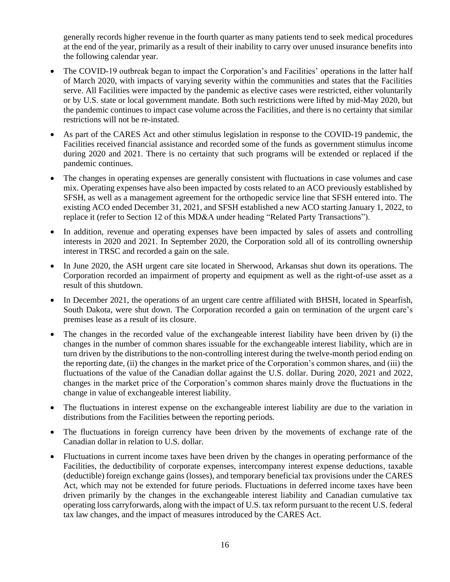generally records higher revenue in the fourth quarter as many patients tend to seek medical procedures at the end of the year, primarily as a result of their inability to carry over unused insurance benefits into the following calendar year.

- The COVID-19 outbreak began to impact the Corporation's and Facilities' operations in the latter half of March 2020, with impacts of varying severity within the communities and states that the Facilities serve. All Facilities were impacted by the pandemic as elective cases were restricted, either voluntarily or by U.S. state or local government mandate. Both such restrictions were lifted by mid-May 2020, but the pandemic continues to impact case volume across the Facilities, and there is no certainty that similar restrictions will not be re-instated.
- As part of the CARES Act and other stimulus legislation in response to the COVID-19 pandemic, the Facilities received financial assistance and recorded some of the funds as government stimulus income during 2020 and 2021. There is no certainty that such programs will be extended or replaced if the pandemic continues.
- The changes in operating expenses are generally consistent with fluctuations in case volumes and case mix. Operating expenses have also been impacted by costs related to an ACO previously established by SFSH, as well as a management agreement for the orthopedic service line that SFSH entered into. The existing ACO ended December 31, 2021, and SFSH established a new ACO starting January 1, 2022, to replace it (refer to Section 12 of this MD&A under heading "Related Party Transactions").
- In addition, revenue and operating expenses have been impacted by sales of assets and controlling interests in 2020 and 2021. In September 2020, the Corporation sold all of its controlling ownership interest in TRSC and recorded a gain on the sale.
- In June 2020, the ASH urgent care site located in Sherwood, Arkansas shut down its operations. The Corporation recorded an impairment of property and equipment as well as the right-of-use asset as a result of this shutdown.
- In December 2021, the operations of an urgent care centre affiliated with BHSH, located in Spearfish, South Dakota, were shut down. The Corporation recorded a gain on termination of the urgent care's premises lease as a result of its closure.
- The changes in the recorded value of the exchangeable interest liability have been driven by (i) the changes in the number of common shares issuable for the exchangeable interest liability, which are in turn driven by the distributions to the non-controlling interest during the twelve-month period ending on the reporting date, (ii) the changes in the market price of the Corporation's common shares, and (iii) the fluctuations of the value of the Canadian dollar against the U.S. dollar. During 2020, 2021 and 2022, changes in the market price of the Corporation's common shares mainly drove the fluctuations in the change in value of exchangeable interest liability.
- The fluctuations in interest expense on the exchangeable interest liability are due to the variation in distributions from the Facilities between the reporting periods.
- The fluctuations in foreign currency have been driven by the movements of exchange rate of the Canadian dollar in relation to U.S. dollar.
- Fluctuations in current income taxes have been driven by the changes in operating performance of the Facilities, the deductibility of corporate expenses, intercompany interest expense deductions, taxable (deductible) foreign exchange gains (losses), and temporary beneficial tax provisions under the CARES Act, which may not be extended for future periods. Fluctuations in deferred income taxes have been driven primarily by the changes in the exchangeable interest liability and Canadian cumulative tax operating loss carryforwards, along with the impact of U.S. tax reform pursuant to the recent U.S. federal tax law changes, and the impact of measures introduced by the CARES Act.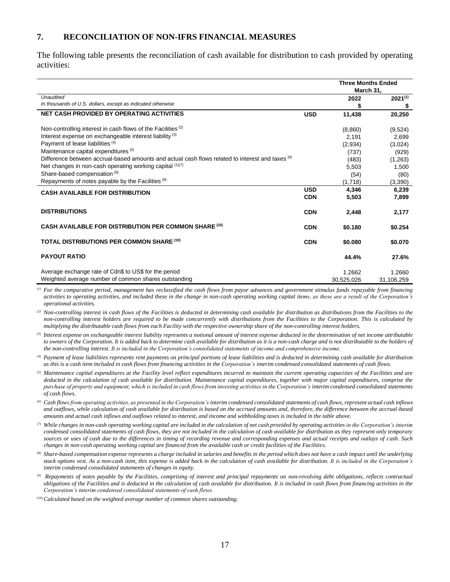#### <span id="page-16-0"></span>**7. RECONCILIATION OF NON-IFRS FINANCIAL MEASURES**

The following table presents the reconciliation of cash available for distribution to cash provided by operating activities:

|                                                                                                  |            | <b>Three Months Ended</b><br>March 31, |              |
|--------------------------------------------------------------------------------------------------|------------|----------------------------------------|--------------|
| <b>Unaudited</b>                                                                                 |            | 2022                                   | $2021^{(1)}$ |
| In thousands of U.S. dollars, except as indicated otherwise                                      |            | \$                                     | \$           |
| NET CASH PROVIDED BY OPERATING ACTIVITIES                                                        | <b>USD</b> | 11,438                                 | 20,250       |
| Non-controlling interest in cash flows of the Facilities <sup>(2)</sup>                          |            | (8,860)                                | (9,524)      |
| Interest expense on exchangeable interest liability <sup>(3)</sup>                               |            | 2,191                                  | 2,699        |
| Payment of lease liabilities <sup>(4)</sup>                                                      |            | (2,934)                                | (3,024)      |
| Maintenance capital expenditures <sup>(5)</sup>                                                  |            | (737)                                  | (929)        |
| Difference between accrual-based amounts and actual cash flows related to interest and taxes (6) |            | (483)                                  | (1,263)      |
| Net changes in non-cash operating working capital $(1)(7)$                                       |            | 5,503                                  | 1,500        |
| Share-based compensation <sup>(8)</sup>                                                          |            | (54)                                   | (80)         |
| Repayments of notes payable by the Facilities <sup>(9)</sup>                                     |            | (1,718)                                | (3,390)      |
| <b>CASH AVAILABLE FOR DISTRIBUTION</b>                                                           | <b>USD</b> | 4,346                                  | 6,239        |
|                                                                                                  | <b>CDN</b> | 5,503                                  | 7,899        |
| <b>DISTRIBUTIONS</b>                                                                             | <b>CDN</b> | 2,448                                  | 2,177        |
| <b>CASH AVAILABLE FOR DISTRIBUTION PER COMMON SHARE (10)</b>                                     | <b>CDN</b> | \$0.180                                | \$0.254      |
| <b>TOTAL DISTRIBUTIONS PER COMMON SHARE (10)</b>                                                 | <b>CDN</b> | \$0,080                                | \$0.070      |
| <b>PAYOUT RATIO</b>                                                                              |            | 44.4%                                  | 27.6%        |
| Average exchange rate of Cdn\$ to US\$ for the period                                            |            | 1.2662                                 | 1.2660       |
| Weighted average number of common shares outstanding                                             |            | 30.525.026                             | 31.106.259   |

*(1) For the comparative period, management has reclassified the cash flows from payor advances and government stimulus funds repayable from financing activities to operating activities, and included these in the change in non-cash operating working capital items, as these are a result of the Corporation's operational activities.*

<sup>(2)</sup> Non-controlling interest in cash flows of the Facilities is deducted in determining cash available for distribution as distributions from the Facilities to the *non-controlling interest holders are required to be made concurrently with distributions from the Facilities to the Corporation. This is calculated by multiplying the distributable cash flows from each Facility with the respective ownership share of the non-controlling interest holders.*

*(3) Interest expense on exchangeable interest liability represents a notional amount of interest expense deducted in the determination of net income attributable to owners of the Corporation. It is added back to determine cash available for distribution as it is a non-cash charge and is not distributable to the holders of the non-controlling interest. It is included in the Corporation's consolidated statements of income and comprehensive income.*

*(4) Payment of lease liabilities represents rent payments on principal portions of lease liabilities and is deducted in determining cash available for distribution as this is a cash item included in cash flows from financing activities in the Corporation's interim condensed consolidated statements of cash flows.*

*(5) Maintenance capital expenditures at the Facility level reflect expenditures incurred to maintain the current operating capacities of the Facilities and are deducted in the calculation of cash available for distribution. Maintenance capital expenditures, together with major capital expenditures, comprise the purchase of property and equipment, which is included in cash flows from investing activities in the Corporation's interim condensed consolidated statements of cash flows.*

*(6) Cash flows from operating activities, as presented in the Corporation's interim condensed consolidated statements of cash flows, represent actual cash inflows*  and outflows, while calculation of cash available for distribution is based on the accrued amounts and, therefore, the difference between the accrual-based *amounts and actual cash inflows and outflows related to interest, and income and withholding taxes is included in the table above.*

*(7) While changes in non-cash operating working capital are included in the calculation of net cash provided by operating activities in the Corporation's interim condensed consolidated statements of cash flows, they are not included in the calculation of cash available for distribution as they represent only temporary sources or uses of cash due to the differences in timing of recording revenue and corresponding expenses and actual receipts and outlays of cash. Such changes in non-cash operating working capital are financed from the available cash or credit facilities of the Facilities.*

*(8) Share-based compensation expense represents a charge included in salaries and benefits in the period which does not have a cash impact until the underlying stock options vest. As a non-cash item, this expense is added back in the calculation of cash available for distribution. It is included in the Corporation's interim condensed consolidated statements of changes in equity.*

*(9) Repayments of notes payable by the Facilities, comprising of interest and principal repayments on non-revolving debt obligations, reflects contractual obligations of the Facilities and is deducted in the calculation of cash available for distribution. It is included in cash flows from financing activities in the Corporation's interim condensed consolidated statements of cash flows.*

*(10) Calculated based on the weighted average number of common shares outstanding.*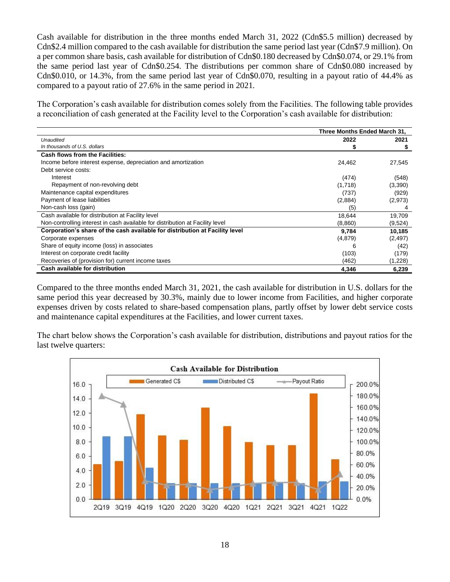Cash available for distribution in the three months ended March 31, 2022 (Cdn\$5.5 million) decreased by Cdn\$2.4 million compared to the cash available for distribution the same period last year (Cdn\$7.9 million). On a per common share basis, cash available for distribution of Cdn\$0.180 decreased by Cdn\$0.074, or 29.1% from the same period last year of Cdn\$0.254. The distributions per common share of Cdn\$0.080 increased by Cdn\$0.010, or 14.3%, from the same period last year of Cdn\$0.070, resulting in a payout ratio of 44.4% as compared to a payout ratio of 27.6% in the same period in 2021.

The Corporation's cash available for distribution comes solely from the Facilities. The following table provides a reconciliation of cash generated at the Facility level to the Corporation's cash available for distribution:

|                                                                               | Three Months Ended March 31. |          |
|-------------------------------------------------------------------------------|------------------------------|----------|
| Unaudited                                                                     | 2022                         | 2021     |
| In thousands of U.S. dollars                                                  |                              |          |
| <b>Cash flows from the Facilities:</b>                                        |                              |          |
| Income before interest expense, depreciation and amortization                 | 24,462                       | 27,545   |
| Debt service costs:                                                           |                              |          |
| Interest                                                                      | (474)                        | (548)    |
| Repayment of non-revolving debt                                               | (1,718)                      | (3,390)  |
| Maintenance capital expenditures                                              | (737)                        | (929)    |
| Payment of lease liabilities                                                  | (2,884)                      | (2,973)  |
| Non-cash loss (gain)                                                          | (5)                          |          |
| Cash available for distribution at Facility level                             | 18,644                       | 19,709   |
| Non-controlling interest in cash available for distribution at Facility level | (8,860)                      | (9,524)  |
| Corporation's share of the cash available for distribution at Facility level  | 9,784                        | 10,185   |
| Corporate expenses                                                            | (4,879)                      | (2, 497) |
| Share of equity income (loss) in associates                                   | 6                            | (42)     |
| Interest on corporate credit facility                                         | (103)                        | (179)    |
| Recoveries of (provision for) current income taxes                            | (462)                        | (1,228)  |
| Cash available for distribution                                               | 4,346                        | 6,239    |

Compared to the three months ended March 31, 2021, the cash available for distribution in U.S. dollars for the same period this year decreased by 30.3%, mainly due to lower income from Facilities, and higher corporate expenses driven by costs related to share-based compensation plans, partly offset by lower debt service costs and maintenance capital expenditures at the Facilities, and lower current taxes.

The chart below shows the Corporation's cash available for distribution, distributions and payout ratios for the last twelve quarters:

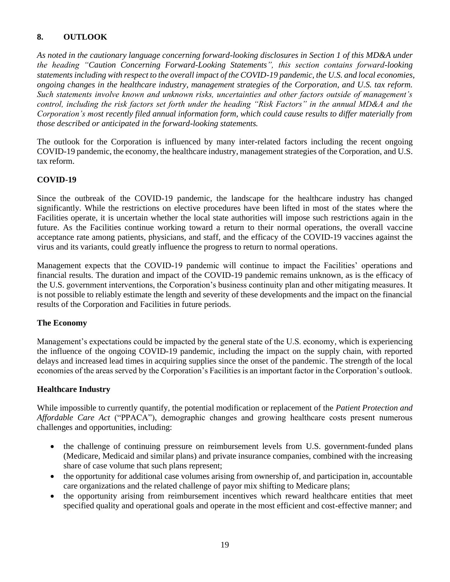# <span id="page-18-0"></span>**8. OUTLOOK**

*As noted in the cautionary language concerning forward-looking disclosures in Section 1 of this MD&A under the heading "Caution Concerning Forward-Looking Statements", this section contains forward-looking statements including with respect to the overall impact of the COVID-19 pandemic, the U.S. and local economies, ongoing changes in the healthcare industry, management strategies of the Corporation, and U.S. tax reform. Such statements involve known and unknown risks, uncertainties and other factors outside of management's control, including the risk factors set forth under the heading "Risk Factors" in the annual MD&A and the Corporation's most recently filed annual information form, which could cause results to differ materially from those described or anticipated in the forward-looking statements.*

The outlook for the Corporation is influenced by many inter-related factors including the recent ongoing COVID-19 pandemic, the economy, the healthcare industry, management strategies of the Corporation, and U.S. tax reform.

## **COVID-19**

Since the outbreak of the COVID-19 pandemic, the landscape for the healthcare industry has changed significantly. While the restrictions on elective procedures have been lifted in most of the states where the Facilities operate, it is uncertain whether the local state authorities will impose such restrictions again in the future. As the Facilities continue working toward a return to their normal operations, the overall vaccine acceptance rate among patients, physicians, and staff, and the efficacy of the COVID-19 vaccines against the virus and its variants, could greatly influence the progress to return to normal operations.

Management expects that the COVID-19 pandemic will continue to impact the Facilities' operations and financial results. The duration and impact of the COVID-19 pandemic remains unknown, as is the efficacy of the U.S. government interventions, the Corporation's business continuity plan and other mitigating measures. It is not possible to reliably estimate the length and severity of these developments and the impact on the financial results of the Corporation and Facilities in future periods.

## **The Economy**

Management's expectations could be impacted by the general state of the U.S. economy, which is experiencing the influence of the ongoing COVID-19 pandemic, including the impact on the supply chain, with reported delays and increased lead times in acquiring supplies since the onset of the pandemic. The strength of the local economies of the areas served by the Corporation's Facilities is an important factor in the Corporation's outlook.

## **Healthcare Industry**

While impossible to currently quantify, the potential modification or replacement of the *Patient Protection and Affordable Care Act* ("PPACA"), demographic changes and growing healthcare costs present numerous challenges and opportunities, including:

- the challenge of continuing pressure on reimbursement levels from U.S. government-funded plans (Medicare, Medicaid and similar plans) and private insurance companies, combined with the increasing share of case volume that such plans represent;
- the opportunity for additional case volumes arising from ownership of, and participation in, accountable care organizations and the related challenge of payor mix shifting to Medicare plans;
- the opportunity arising from reimbursement incentives which reward healthcare entities that meet specified quality and operational goals and operate in the most efficient and cost-effective manner; and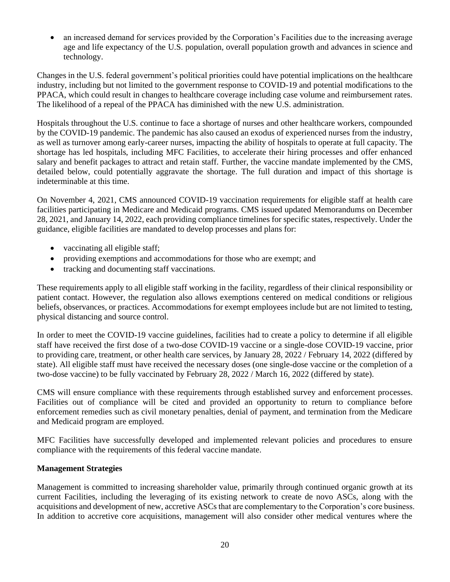• an increased demand for services provided by the Corporation's Facilities due to the increasing average age and life expectancy of the U.S. population, overall population growth and advances in science and technology.

Changes in the U.S. federal government's political priorities could have potential implications on the healthcare industry, including but not limited to the government response to COVID-19 and potential modifications to the PPACA, which could result in changes to healthcare coverage including case volume and reimbursement rates. The likelihood of a repeal of the PPACA has diminished with the new U.S. administration.

Hospitals throughout the U.S. continue to face a shortage of nurses and other healthcare workers, compounded by the COVID-19 pandemic. The pandemic has also caused an exodus of experienced nurses from the industry, as well as turnover among early-career nurses, impacting the ability of hospitals to operate at full capacity. The shortage has led hospitals, including MFC Facilities, to accelerate their hiring processes and offer enhanced salary and benefit packages to attract and retain staff. Further, the vaccine mandate implemented by the CMS, detailed below, could potentially aggravate the shortage. The full duration and impact of this shortage is indeterminable at this time.

On November 4, 2021, CMS announced COVID-19 vaccination requirements for eligible staff at health care facilities participating in Medicare and Medicaid programs. CMS issued updated Memorandums on December 28, 2021, and January 14, 2022, each providing compliance timelines for specific states, respectively. Under the guidance, eligible facilities are mandated to develop processes and plans for:

- vaccinating all eligible staff;
- providing exemptions and accommodations for those who are exempt; and
- tracking and documenting staff vaccinations.

These requirements apply to all eligible staff working in the facility, regardless of their clinical responsibility or patient contact. However, the regulation also allows exemptions centered on medical conditions or religious beliefs, observances, or practices. Accommodations for exempt employees include but are not limited to testing, physical distancing and source control.

In order to meet the COVID-19 vaccine guidelines, facilities had to create a policy to determine if all eligible staff have received the first dose of a two-dose COVID-19 vaccine or a single-dose COVID-19 vaccine, prior to providing care, treatment, or other health care services, by January 28, 2022 / February 14, 2022 (differed by state). All eligible staff must have received the necessary doses (one single-dose vaccine or the completion of a two-dose vaccine) to be fully vaccinated by February 28, 2022 / March 16, 2022 (differed by state).

CMS will ensure compliance with these requirements through established survey and enforcement processes. Facilities out of compliance will be cited and provided an opportunity to return to compliance before enforcement remedies such as civil monetary penalties, denial of payment, and termination from the Medicare and Medicaid program are employed.

MFC Facilities have successfully developed and implemented relevant policies and procedures to ensure compliance with the requirements of this federal vaccine mandate.

## **Management Strategies**

Management is committed to increasing shareholder value, primarily through continued organic growth at its current Facilities, including the leveraging of its existing network to create de novo ASCs, along with the acquisitions and development of new, accretive ASCs that are complementary to the Corporation's core business. In addition to accretive core acquisitions, management will also consider other medical ventures where the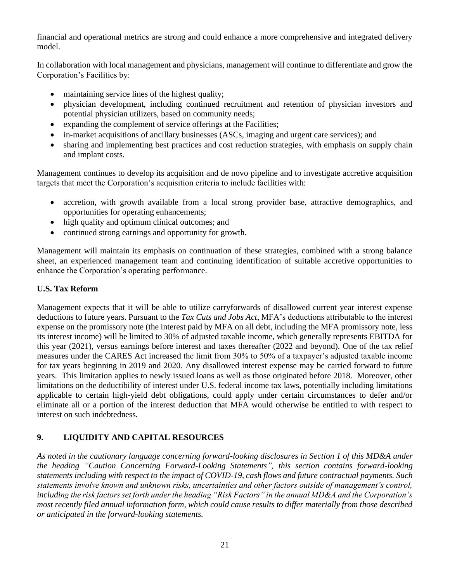financial and operational metrics are strong and could enhance a more comprehensive and integrated delivery model.

In collaboration with local management and physicians, management will continue to differentiate and grow the Corporation's Facilities by:

- maintaining service lines of the highest quality;
- physician development, including continued recruitment and retention of physician investors and potential physician utilizers, based on community needs;
- expanding the complement of service offerings at the Facilities;
- in-market acquisitions of ancillary businesses (ASCs, imaging and urgent care services); and
- sharing and implementing best practices and cost reduction strategies, with emphasis on supply chain and implant costs.

Management continues to develop its acquisition and de novo pipeline and to investigate accretive acquisition targets that meet the Corporation's acquisition criteria to include facilities with:

- accretion, with growth available from a local strong provider base, attractive demographics, and opportunities for operating enhancements;
- high quality and optimum clinical outcomes; and
- continued strong earnings and opportunity for growth.

Management will maintain its emphasis on continuation of these strategies, combined with a strong balance sheet, an experienced management team and continuing identification of suitable accretive opportunities to enhance the Corporation's operating performance.

# **U.S. Tax Reform**

Management expects that it will be able to utilize carryforwards of disallowed current year interest expense deductions to future years. Pursuant to the *Tax Cuts and Jobs Act*, MFA's deductions attributable to the interest expense on the promissory note (the interest paid by MFA on all debt, including the MFA promissory note, less its interest income) will be limited to 30% of adjusted taxable income, which generally represents EBITDA for this year (2021), versus earnings before interest and taxes thereafter (2022 and beyond). One of the tax relief measures under the CARES Act increased the limit from 30% to 50% of a taxpayer's adjusted taxable income for tax years beginning in 2019 and 2020. Any disallowed interest expense may be carried forward to future years. This limitation applies to newly issued loans as well as those originated before 2018. Moreover, other limitations on the deductibility of interest under U.S. federal income tax laws, potentially including limitations applicable to certain high-yield debt obligations, could apply under certain circumstances to defer and/or eliminate all or a portion of the interest deduction that MFA would otherwise be entitled to with respect to interest on such indebtedness.

# <span id="page-20-0"></span>**9. LIQUIDITY AND CAPITAL RESOURCES**

*As noted in the cautionary language concerning forward-looking disclosures in Section 1 of this MD&A under the heading "Caution Concerning Forward-Looking Statements", this section contains forward-looking statements including with respect to the impact of COVID-19, cash flows and future contractual payments. Such statements involve known and unknown risks, uncertainties and other factors outside of management's control, including the risk factors set forth under the heading "Risk Factors" in the annual MD&A and the Corporation's most recently filed annual information form, which could cause results to differ materially from those described or anticipated in the forward-looking statements.*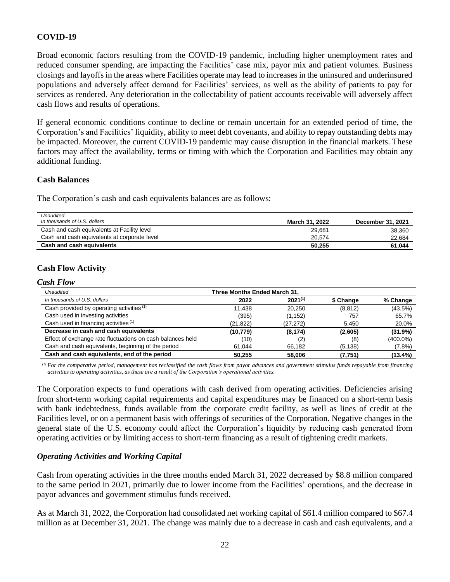## **COVID-19**

Broad economic factors resulting from the COVID-19 pandemic, including higher unemployment rates and reduced consumer spending, are impacting the Facilities' case mix, payor mix and patient volumes. Business closings and layoffs in the areas where Facilities operate may lead to increases in the uninsured and underinsured populations and adversely affect demand for Facilities' services, as well as the ability of patients to pay for services as rendered. Any deterioration in the collectability of patient accounts receivable will adversely affect cash flows and results of operations.

If general economic conditions continue to decline or remain uncertain for an extended period of time, the Corporation's and Facilities' liquidity, ability to meet debt covenants, and ability to repay outstanding debts may be impacted. Moreover, the current COVID-19 pandemic may cause disruption in the financial markets. These factors may affect the availability, terms or timing with which the Corporation and Facilities may obtain any additional funding.

#### **Cash Balances**

The Corporation's cash and cash equivalents balances are as follows:

| Unaudited                                    |                |                   |
|----------------------------------------------|----------------|-------------------|
| In thousands of U.S. dollars                 | March 31, 2022 | December 31, 2021 |
| Cash and cash equivalents at Facility level  | 29,681         | 38,360            |
| Cash and cash equivalents at corporate level | 20.574         | 22.684            |
| Cash and cash equivalents                    | 50.255         | 61.044            |

# **Cash Flow Activity**

#### *Cash Flow*

| Unaudited                                                  | Three Months Ended March 31. |              |           |             |
|------------------------------------------------------------|------------------------------|--------------|-----------|-------------|
| In thousands of U.S. dollars                               | 2022                         | $2021^{(1)}$ | \$ Change | % Change    |
| Cash provided by operating activities (1)                  | 11.438                       | 20.250       | (8, 812)  | (43.5%)     |
| Cash used in investing activities                          | (395)                        | (1, 152)     | 757       | 65.7%       |
| Cash used in financing activities (1)                      | (21, 822)                    | (27, 272)    | 5,450     | 20.0%       |
| Decrease in cash and cash equivalents                      | (10, 779)                    | (8, 174)     | (2,605)   | (31.9%)     |
| Effect of exchange rate fluctuations on cash balances held | (10)                         | (2)          | (8)       | $(400.0\%)$ |
| Cash and cash equivalents, beginning of the period         | 61.044                       | 66.182       | (5, 138)  | $(7.8\%)$   |
| Cash and cash equivalents, end of the period               | 50.255                       | 58,006       | (7, 751)  | $(13.4\%)$  |

*(1) For the comparative period, management has reclassified the cash flows from payor advances and government stimulus funds repayable from financing activities to operating activities, as these are a result of the Corporation's operational activities.*

The Corporation expects to fund operations with cash derived from operating activities. Deficiencies arising from short-term working capital requirements and capital expenditures may be financed on a short-term basis with bank indebtedness, funds available from the corporate credit facility, as well as lines of credit at the Facilities level, or on a permanent basis with offerings of securities of the Corporation. Negative changes in the general state of the U.S. economy could affect the Corporation's liquidity by reducing cash generated from operating activities or by limiting access to short‐term financing as a result of tightening credit markets*.*

## *Operating Activities and Working Capital*

Cash from operating activities in the three months ended March 31, 2022 decreased by \$8.8 million compared to the same period in 2021, primarily due to lower income from the Facilities' operations, and the decrease in payor advances and government stimulus funds received.

As at March 31, 2022, the Corporation had consolidated net working capital of \$61.4 million compared to \$67.4 million as at December 31, 2021. The change was mainly due to a decrease in cash and cash equivalents, and a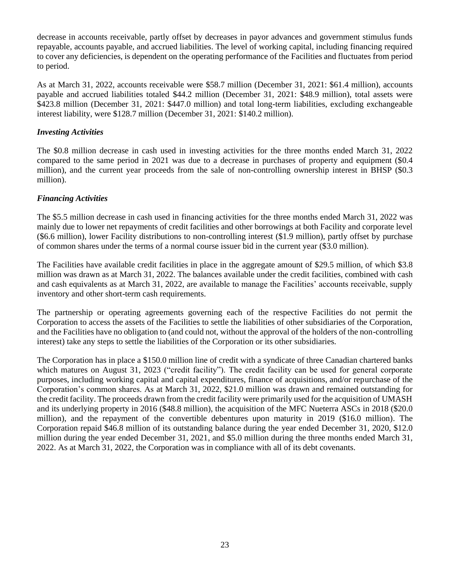decrease in accounts receivable, partly offset by decreases in payor advances and government stimulus funds repayable, accounts payable, and accrued liabilities. The level of working capital, including financing required to cover any deficiencies, is dependent on the operating performance of the Facilities and fluctuates from period to period.

As at March 31, 2022, accounts receivable were \$58.7 million (December 31, 2021: \$61.4 million), accounts payable and accrued liabilities totaled \$44.2 million (December 31, 2021: \$48.9 million), total assets were \$423.8 million (December 31, 2021: \$447.0 million) and total long-term liabilities, excluding exchangeable interest liability, were \$128.7 million (December 31, 2021: \$140.2 million).

#### *Investing Activities*

The \$0.8 million decrease in cash used in investing activities for the three months ended March 31, 2022 compared to the same period in 2021 was due to a decrease in purchases of property and equipment (\$0.4 million), and the current year proceeds from the sale of non-controlling ownership interest in BHSP (\$0.3 million).

#### *Financing Activities*

The \$5.5 million decrease in cash used in financing activities for the three months ended March 31, 2022 was mainly due to lower net repayments of credit facilities and other borrowings at both Facility and corporate level (\$6.6 million), lower Facility distributions to non-controlling interest (\$1.9 million), partly offset by purchase of common shares under the terms of a normal course issuer bid in the current year (\$3.0 million).

The Facilities have available credit facilities in place in the aggregate amount of \$29.5 million, of which \$3.8 million was drawn as at March 31, 2022. The balances available under the credit facilities, combined with cash and cash equivalents as at March 31, 2022, are available to manage the Facilities' accounts receivable, supply inventory and other short-term cash requirements.

The partnership or operating agreements governing each of the respective Facilities do not permit the Corporation to access the assets of the Facilities to settle the liabilities of other subsidiaries of the Corporation, and the Facilities have no obligation to (and could not, without the approval of the holders of the non-controlling interest) take any steps to settle the liabilities of the Corporation or its other subsidiaries.

The Corporation has in place a \$150.0 million line of credit with a syndicate of three Canadian chartered banks which matures on August 31, 2023 ("credit facility"). The credit facility can be used for general corporate purposes, including working capital and capital expenditures, finance of acquisitions, and/or repurchase of the Corporation's common shares. As at March 31, 2022, \$21.0 million was drawn and remained outstanding for the credit facility. The proceeds drawn from the credit facility were primarily used for the acquisition of UMASH and its underlying property in 2016 (\$48.8 million), the acquisition of the MFC Nueterra ASCs in 2018 (\$20.0 million), and the repayment of the convertible debentures upon maturity in 2019 (\$16.0 million). The Corporation repaid \$46.8 million of its outstanding balance during the year ended December 31, 2020, \$12.0 million during the year ended December 31, 2021, and \$5.0 million during the three months ended March 31, 2022. As at March 31, 2022, the Corporation was in compliance with all of its debt covenants.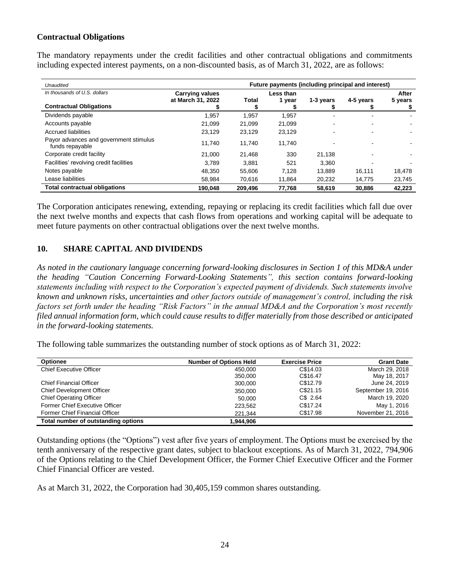#### **Contractual Obligations**

The mandatory repayments under the credit facilities and other contractual obligations and commitments including expected interest payments, on a non-discounted basis, as of March 31, 2022, are as follows:

| Unaudited                                                 | Future payments (including principal and interest) |         |           |           |           |         |
|-----------------------------------------------------------|----------------------------------------------------|---------|-----------|-----------|-----------|---------|
| In thousands of U.S. dollars                              | <b>Carrying values</b>                             |         | Less than |           |           | After   |
| <b>Contractual Obligations</b>                            | at March 31, 2022                                  | Total   | 1 year    | 1-3 years | 4-5 years | 5 years |
| Dividends payable                                         | 1,957                                              | 1,957   | 1,957     | ٠         |           |         |
| Accounts payable                                          | 21,099                                             | 21,099  | 21,099    |           |           |         |
| <b>Accrued liabilities</b>                                | 23,129                                             | 23.129  | 23.129    |           |           |         |
| Payor advances and government stimulus<br>funds repayable | 11.740                                             | 11.740  | 11.740    |           |           |         |
| Corporate credit facility                                 | 21.000                                             | 21.468  | 330       | 21.138    |           |         |
| Facilities' revolving credit facilities                   | 3.789                                              | 3.881   | 521       | 3.360     |           |         |
| Notes payable                                             | 48,350                                             | 55,606  | 7,128     | 13.889    | 16.111    | 18,478  |
| Lease liabilities                                         | 58.984                                             | 70.616  | 11.864    | 20,232    | 14,775    | 23,745  |
| <b>Total contractual obligations</b>                      | 190.048                                            | 209.496 | 77.768    | 58.619    | 30,886    | 42.223  |

The Corporation anticipates renewing, extending, repaying or replacing its credit facilities which fall due over the next twelve months and expects that cash flows from operations and working capital will be adequate to meet future payments on other contractual obligations over the next twelve months.

# <span id="page-23-0"></span>**10. SHARE CAPITAL AND DIVIDENDS**

*As noted in the cautionary language concerning forward-looking disclosures in Section 1 of this MD&A under the heading "Caution Concerning Forward-Looking Statements", this section contains forward-looking statements including with respect to the Corporation's expected payment of dividends. Such statements involve known and unknown risks, uncertainties and other factors outside of management's control, including the risk factors set forth under the heading "Risk Factors" in the annual MD&A and the Corporation's most recently filed annual information form, which could cause results to differ materially from those described or anticipated in the forward-looking statements.*

The following table summarizes the outstanding number of stock options as of March 31, 2022:

| <b>Optionee</b>                     | <b>Number of Options Held</b> | <b>Exercise Price</b> | <b>Grant Date</b>  |
|-------------------------------------|-------------------------------|-----------------------|--------------------|
| <b>Chief Executive Officer</b>      | 450.000                       | C\$14.03              | March 29, 2018     |
|                                     | 350,000                       | C\$16.47              | May 18, 2017       |
| <b>Chief Financial Officer</b>      | 300,000                       | C\$12.79              | June 24, 2019      |
| <b>Chief Development Officer</b>    | 350,000                       | C\$21.15              | September 19, 2016 |
| <b>Chief Operating Officer</b>      | 50.000                        | $CS$ 2.64             | March 19, 2020     |
| Former Chief Executive Officer      | 223,562                       | C\$17.24              | May 1, 2016        |
| Former Chief Financial Officer      | 221.344                       | C\$17.98              | November 21, 2016  |
| Total number of outstanding options | 1.944.906                     |                       |                    |

Outstanding options (the "Options") vest after five years of employment. The Options must be exercised by the tenth anniversary of the respective grant dates, subject to blackout exceptions. As of March 31, 2022, 794,906 of the Options relating to the Chief Development Officer, the Former Chief Executive Officer and the Former Chief Financial Officer are vested.

As at March 31, 2022, the Corporation had 30,405,159 common shares outstanding.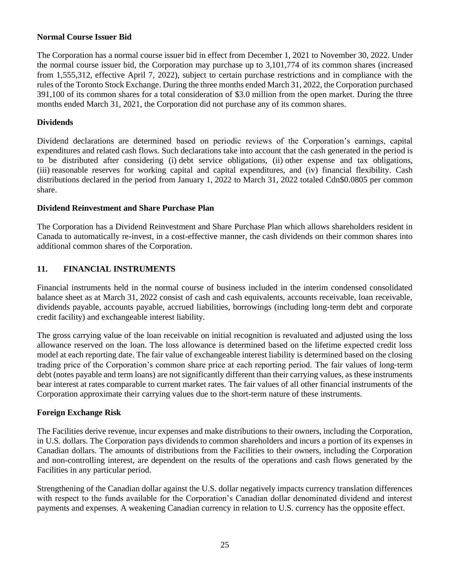## **Normal Course Issuer Bid**

The Corporation has a normal course issuer bid in effect from December 1, 2021 to November 30, 2022. Under the normal course issuer bid, the Corporation may purchase up to 3,101,774 of its common shares (increased from 1,555,312, effective April 7, 2022), subject to certain purchase restrictions and in compliance with the rules of the Toronto Stock Exchange. During the three months ended March 31, 2022, the Corporation purchased 391,100 of its common shares for a total consideration of \$3.0 million from the open market. During the three months ended March 31, 2021, the Corporation did not purchase any of its common shares.

# **Dividends**

Dividend declarations are determined based on periodic reviews of the Corporation's earnings, capital expenditures and related cash flows. Such declarations take into account that the cash generated in the period is to be distributed after considering (i) debt service obligations, (ii) other expense and tax obligations, (iii) reasonable reserves for working capital and capital expenditures, and (iv) financial flexibility. Cash distributions declared in the period from January 1, 2022 to March 31, 2022 totaled Cdn\$0.0805 per common share.

## **Dividend Reinvestment and Share Purchase Plan**

The Corporation has a Dividend Reinvestment and Share Purchase Plan which allows shareholders resident in Canada to automatically re-invest, in a cost-effective manner, the cash dividends on their common shares into additional common shares of the Corporation.

# <span id="page-24-0"></span>**11. FINANCIAL INSTRUMENTS**

Financial instruments held in the normal course of business included in the interim condensed consolidated balance sheet as at March 31, 2022 consist of cash and cash equivalents, accounts receivable, loan receivable, dividends payable, accounts payable, accrued liabilities, borrowings (including long‐term debt and corporate credit facility) and exchangeable interest liability.

The gross carrying value of the loan receivable on initial recognition is revaluated and adjusted using the loss allowance reserved on the loan. The loss allowance is determined based on the lifetime expected credit loss model at each reporting date. The fair value of exchangeable interest liability is determined based on the closing trading price of the Corporation's common share price at each reporting period. The fair values of long‐term debt (notes payable and term loans) are not significantly different than their carrying values, as these instruments bear interest at rates comparable to current market rates. The fair values of all other financial instruments of the Corporation approximate their carrying values due to the short-term nature of these instruments.

# **Foreign Exchange Risk**

The Facilities derive revenue, incur expenses and make distributions to their owners, including the Corporation, in U.S. dollars. The Corporation pays dividends to common shareholders and incurs a portion of its expenses in Canadian dollars. The amounts of distributions from the Facilities to their owners, including the Corporation and non-controlling interest, are dependent on the results of the operations and cash flows generated by the Facilities in any particular period.

Strengthening of the Canadian dollar against the U.S. dollar negatively impacts currency translation differences with respect to the funds available for the Corporation's Canadian dollar denominated dividend and interest payments and expenses. A weakening Canadian currency in relation to U.S. currency has the opposite effect.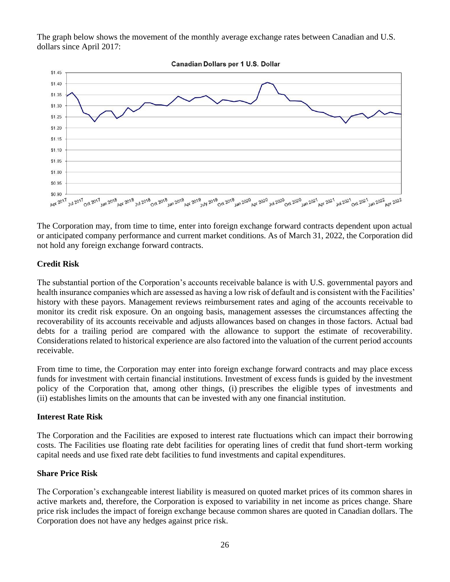The graph below shows the movement of the monthly average exchange rates between Canadian and U.S. dollars since April 2017:



The Corporation may, from time to time, enter into foreign exchange forward contracts dependent upon actual or anticipated company performance and current market conditions. As of March 31, 2022, the Corporation did not hold any foreign exchange forward contracts.

#### **Credit Risk**

The substantial portion of the Corporation's accounts receivable balance is with U.S. governmental payors and health insurance companies which are assessed as having a low risk of default and is consistent with the Facilities' history with these payors. Management reviews reimbursement rates and aging of the accounts receivable to monitor its credit risk exposure. On an ongoing basis, management assesses the circumstances affecting the recoverability of its accounts receivable and adjusts allowances based on changes in those factors. Actual bad debts for a trailing period are compared with the allowance to support the estimate of recoverability. Considerations related to historical experience are also factored into the valuation of the current period accounts receivable.

From time to time, the Corporation may enter into foreign exchange forward contracts and may place excess funds for investment with certain financial institutions. Investment of excess funds is guided by the investment policy of the Corporation that, among other things, (i) prescribes the eligible types of investments and (ii) establishes limits on the amounts that can be invested with any one financial institution.

#### **Interest Rate Risk**

The Corporation and the Facilities are exposed to interest rate fluctuations which can impact their borrowing costs. The Facilities use floating rate debt facilities for operating lines of credit that fund short-term working capital needs and use fixed rate debt facilities to fund investments and capital expenditures.

#### **Share Price Risk**

The Corporation's exchangeable interest liability is measured on quoted market prices of its common shares in active markets and, therefore, the Corporation is exposed to variability in net income as prices change. Share price risk includes the impact of foreign exchange because common shares are quoted in Canadian dollars. The Corporation does not have any hedges against price risk.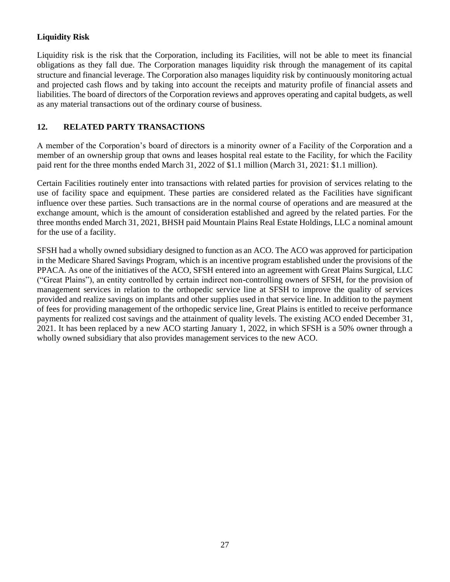# **Liquidity Risk**

Liquidity risk is the risk that the Corporation, including its Facilities, will not be able to meet its financial obligations as they fall due. The Corporation manages liquidity risk through the management of its capital structure and financial leverage. The Corporation also manages liquidity risk by continuously monitoring actual and projected cash flows and by taking into account the receipts and maturity profile of financial assets and liabilities. The board of directors of the Corporation reviews and approves operating and capital budgets, as well as any material transactions out of the ordinary course of business.

# <span id="page-26-0"></span>**12. RELATED PARTY TRANSACTIONS**

A member of the Corporation's board of directors is a minority owner of a Facility of the Corporation and a member of an ownership group that owns and leases hospital real estate to the Facility, for which the Facility paid rent for the three months ended March 31, 2022 of \$1.1 million (March 31, 2021: \$1.1 million).

Certain Facilities routinely enter into transactions with related parties for provision of services relating to the use of facility space and equipment. These parties are considered related as the Facilities have significant influence over these parties. Such transactions are in the normal course of operations and are measured at the exchange amount, which is the amount of consideration established and agreed by the related parties. For the three months ended March 31, 2021, BHSH paid Mountain Plains Real Estate Holdings, LLC a nominal amount for the use of a facility.

SFSH had a wholly owned subsidiary designed to function as an ACO. The ACO was approved for participation in the Medicare Shared Savings Program, which is an incentive program established under the provisions of the PPACA. As one of the initiatives of the ACO, SFSH entered into an agreement with Great Plains Surgical, LLC ("Great Plains"), an entity controlled by certain indirect non-controlling owners of SFSH, for the provision of management services in relation to the orthopedic service line at SFSH to improve the quality of services provided and realize savings on implants and other supplies used in that service line. In addition to the payment of fees for providing management of the orthopedic service line, Great Plains is entitled to receive performance payments for realized cost savings and the attainment of quality levels. The existing ACO ended December 31, 2021. It has been replaced by a new ACO starting January 1, 2022, in which SFSH is a 50% owner through a wholly owned subsidiary that also provides management services to the new ACO.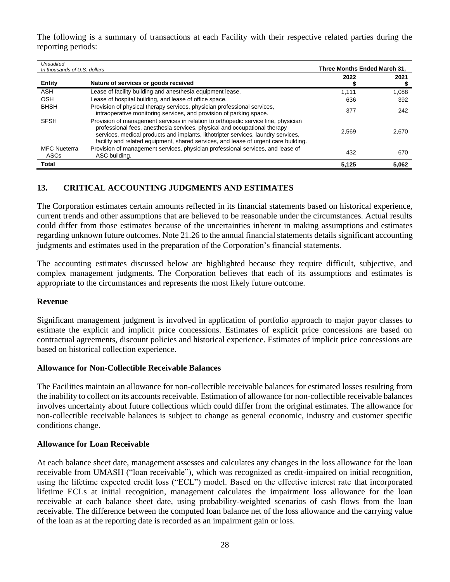The following is a summary of transactions at each Facility with their respective related parties during the reporting periods:

| Unaudited                    |                                                                                                                                                                                                                                                                                                                                             |                              |       |
|------------------------------|---------------------------------------------------------------------------------------------------------------------------------------------------------------------------------------------------------------------------------------------------------------------------------------------------------------------------------------------|------------------------------|-------|
| In thousands of U.S. dollars |                                                                                                                                                                                                                                                                                                                                             | Three Months Ended March 31. |       |
| <b>Entity</b>                | Nature of services or goods received                                                                                                                                                                                                                                                                                                        | 2022                         | 2021  |
| <b>ASH</b>                   | Lease of facility building and anesthesia equipment lease.                                                                                                                                                                                                                                                                                  | 1,111                        | 1,088 |
| OSH                          | Lease of hospital building, and lease of office space.                                                                                                                                                                                                                                                                                      | 636                          | 392   |
| <b>BHSH</b>                  | Provision of physical therapy services, physician professional services,<br>intraoperative monitoring services, and provision of parking space.                                                                                                                                                                                             | 377                          | 242   |
| <b>SFSH</b>                  | Provision of management services in relation to orthopedic service line, physician<br>professional fees, anesthesia services, physical and occupational therapy<br>services, medical products and implants, lithotripter services, laundry services,<br>facility and related equipment, shared services, and lease of urgent care building. | 2.569                        | 2.670 |
| <b>MFC Nueterra</b><br>ASCs  | Provision of management services, physician professional services, and lease of<br>ASC building.                                                                                                                                                                                                                                            | 432                          | 670   |
| <b>Total</b>                 |                                                                                                                                                                                                                                                                                                                                             | 5,125                        | 5.062 |

# <span id="page-27-0"></span>**13. CRITICAL ACCOUNTING JUDGMENTS AND ESTIMATES**

The Corporation estimates certain amounts reflected in its financial statements based on historical experience, current trends and other assumptions that are believed to be reasonable under the circumstances. Actual results could differ from those estimates because of the uncertainties inherent in making assumptions and estimates regarding unknown future outcomes. Note 21.26 to the annual financial statements details significant accounting judgments and estimates used in the preparation of the Corporation's financial statements.

The accounting estimates discussed below are highlighted because they require difficult, subjective, and complex management judgments. The Corporation believes that each of its assumptions and estimates is appropriate to the circumstances and represents the most likely future outcome.

## **Revenue**

Significant management judgment is involved in application of portfolio approach to major payor classes to estimate the explicit and implicit price concessions. Estimates of explicit price concessions are based on contractual agreements, discount policies and historical experience. Estimates of implicit price concessions are based on historical collection experience.

## **Allowance for Non-Collectible Receivable Balances**

The Facilities maintain an allowance for non-collectible receivable balances for estimated losses resulting from the inability to collect on its accounts receivable. Estimation of allowance for non-collectible receivable balances involves uncertainty about future collections which could differ from the original estimates. The allowance for non-collectible receivable balances is subject to change as general economic, industry and customer specific conditions change.

## **Allowance for Loan Receivable**

At each balance sheet date, management assesses and calculates any changes in the loss allowance for the loan receivable from UMASH ("loan receivable"), which was recognized as credit-impaired on initial recognition, using the lifetime expected credit loss ("ECL") model. Based on the effective interest rate that incorporated lifetime ECLs at initial recognition, management calculates the impairment loss allowance for the loan receivable at each balance sheet date, using probability-weighted scenarios of cash flows from the loan receivable. The difference between the computed loan balance net of the loss allowance and the carrying value of the loan as at the reporting date is recorded as an impairment gain or loss.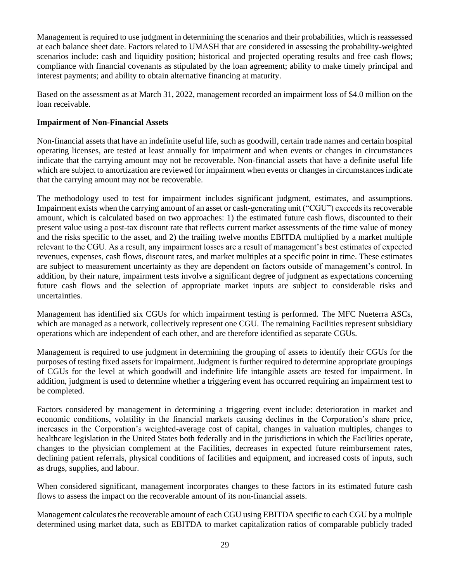Management is required to use judgment in determining the scenarios and their probabilities, which is reassessed at each balance sheet date. Factors related to UMASH that are considered in assessing the probability-weighted scenarios include: cash and liquidity position; historical and projected operating results and free cash flows; compliance with financial covenants as stipulated by the loan agreement; ability to make timely principal and interest payments; and ability to obtain alternative financing at maturity.

Based on the assessment as at March 31, 2022, management recorded an impairment loss of \$4.0 million on the loan receivable.

## **Impairment of Non-Financial Assets**

Non-financial assets that have an indefinite useful life, such as goodwill, certain trade names and certain hospital operating licenses, are tested at least annually for impairment and when events or changes in circumstances indicate that the carrying amount may not be recoverable. Non-financial assets that have a definite useful life which are subject to amortization are reviewed for impairment when events or changes in circumstances indicate that the carrying amount may not be recoverable.

The methodology used to test for impairment includes significant judgment, estimates, and assumptions. Impairment exists when the carrying amount of an asset or cash-generating unit ("CGU") exceeds its recoverable amount, which is calculated based on two approaches: 1) the estimated future cash flows, discounted to their present value using a post-tax discount rate that reflects current market assessments of the time value of money and the risks specific to the asset, and 2) the trailing twelve months EBITDA multiplied by a market multiple relevant to the CGU. As a result, any impairment losses are a result of management's best estimates of expected revenues, expenses, cash flows, discount rates, and market multiples at a specific point in time. These estimates are subject to measurement uncertainty as they are dependent on factors outside of management's control. In addition, by their nature, impairment tests involve a significant degree of judgment as expectations concerning future cash flows and the selection of appropriate market inputs are subject to considerable risks and uncertainties.

Management has identified six CGUs for which impairment testing is performed. The MFC Nueterra ASCs, which are managed as a network, collectively represent one CGU. The remaining Facilities represent subsidiary operations which are independent of each other, and are therefore identified as separate CGUs.

Management is required to use judgment in determining the grouping of assets to identify their CGUs for the purposes of testing fixed assets for impairment. Judgment is further required to determine appropriate groupings of CGUs for the level at which goodwill and indefinite life intangible assets are tested for impairment. In addition, judgment is used to determine whether a triggering event has occurred requiring an impairment test to be completed.

Factors considered by management in determining a triggering event include: deterioration in market and economic conditions, volatility in the financial markets causing declines in the Corporation's share price, increases in the Corporation's weighted-average cost of capital, changes in valuation multiples, changes to healthcare legislation in the United States both federally and in the jurisdictions in which the Facilities operate, changes to the physician complement at the Facilities, decreases in expected future reimbursement rates, declining patient referrals, physical conditions of facilities and equipment, and increased costs of inputs, such as drugs, supplies, and labour.

When considered significant, management incorporates changes to these factors in its estimated future cash flows to assess the impact on the recoverable amount of its non-financial assets.

Management calculates the recoverable amount of each CGU using EBITDA specific to each CGU by a multiple determined using market data, such as EBITDA to market capitalization ratios of comparable publicly traded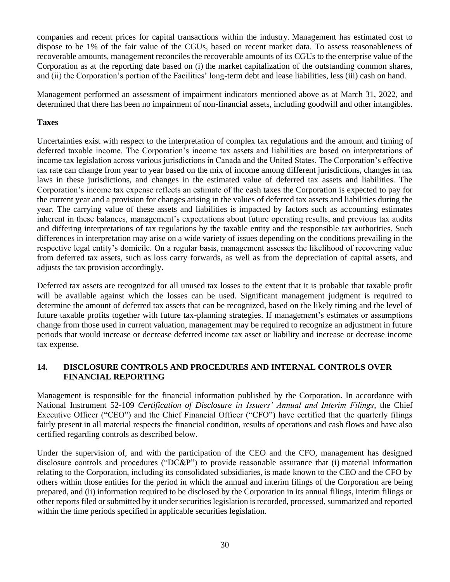companies and recent prices for capital transactions within the industry. Management has estimated cost to dispose to be 1% of the fair value of the CGUs, based on recent market data. To assess reasonableness of recoverable amounts, management reconciles the recoverable amounts of its CGUs to the enterprise value of the Corporation as at the reporting date based on (i) the market capitalization of the outstanding common shares, and (ii) the Corporation's portion of the Facilities' long-term debt and lease liabilities, less (iii) cash on hand.

Management performed an assessment of impairment indicators mentioned above as at March 31, 2022, and determined that there has been no impairment of non-financial assets, including goodwill and other intangibles.

# **Taxes**

Uncertainties exist with respect to the interpretation of complex tax regulations and the amount and timing of deferred taxable income. The Corporation's income tax assets and liabilities are based on interpretations of income tax legislation across various jurisdictions in Canada and the United States. The Corporation's effective tax rate can change from year to year based on the mix of income among different jurisdictions, changes in tax laws in these jurisdictions, and changes in the estimated value of deferred tax assets and liabilities. The Corporation's income tax expense reflects an estimate of the cash taxes the Corporation is expected to pay for the current year and a provision for changes arising in the values of deferred tax assets and liabilities during the year. The carrying value of these assets and liabilities is impacted by factors such as accounting estimates inherent in these balances, management's expectations about future operating results, and previous tax audits and differing interpretations of tax regulations by the taxable entity and the responsible tax authorities. Such differences in interpretation may arise on a wide variety of issues depending on the conditions prevailing in the respective legal entity's domicile. On a regular basis, management assesses the likelihood of recovering value from deferred tax assets, such as loss carry forwards, as well as from the depreciation of capital assets, and adjusts the tax provision accordingly.

Deferred tax assets are recognized for all unused tax losses to the extent that it is probable that taxable profit will be available against which the losses can be used. Significant management judgment is required to determine the amount of deferred tax assets that can be recognized, based on the likely timing and the level of future taxable profits together with future tax-planning strategies. If management's estimates or assumptions change from those used in current valuation, management may be required to recognize an adjustment in future periods that would increase or decrease deferred income tax asset or liability and increase or decrease income tax expense.

# <span id="page-29-0"></span>**14. DISCLOSURE CONTROLS AND PROCEDURES AND INTERNAL CONTROLS OVER FINANCIAL REPORTING**

Management is responsible for the financial information published by the Corporation. In accordance with National Instrument 52-109 *Certification of Disclosure in Issuers' Annual and Interim Filings*, the Chief Executive Officer ("CEO") and the Chief Financial Officer ("CFO") have certified that the quarterly filings fairly present in all material respects the financial condition, results of operations and cash flows and have also certified regarding controls as described below.

Under the supervision of, and with the participation of the CEO and the CFO, management has designed disclosure controls and procedures ("DC&P") to provide reasonable assurance that (i) material information relating to the Corporation, including its consolidated subsidiaries, is made known to the CEO and the CFO by others within those entities for the period in which the annual and interim filings of the Corporation are being prepared, and (ii) information required to be disclosed by the Corporation in its annual filings, interim filings or other reports filed or submitted by it under securities legislation is recorded, processed, summarized and reported within the time periods specified in applicable securities legislation.